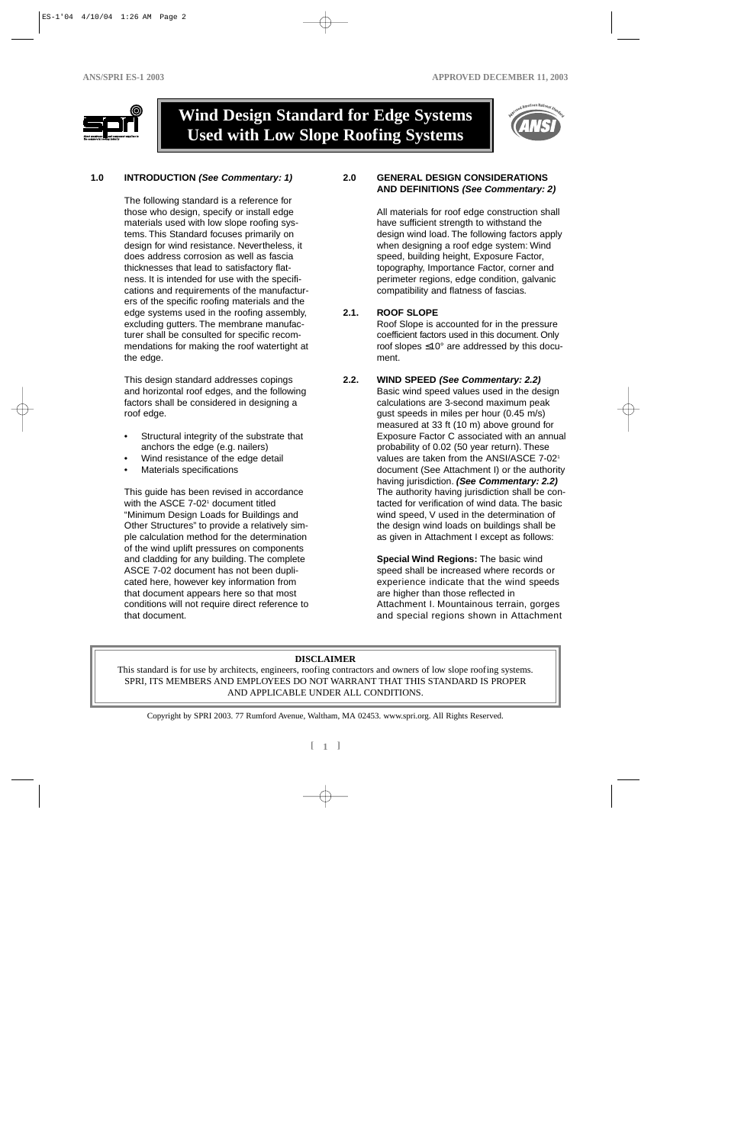

# **Wind Design Standard for Edge Systems Used with Low Slope Roofing Systems**



### **1.0 INTRODUCTION (See Commentary: 1)**

The following standard is a reference for those who design, specify or install edge materials used with low slope roofing systems. This Standard focuses primarily on design for wind resistance. Nevertheless, it does address corrosion as well as fascia thicknesses that lead to satisfactory flatness. It is intended for use with the specifications and requirements of the manufacturers of the specific roofing materials and the edge systems used in the roofing assembly, excluding gutters. The membrane manufacturer shall be consulted for specific recommendations for making the roof watertight at the edge.

This design standard addresses copings and horizontal roof edges, and the following factors shall be considered in designing a roof edge.

- Structural integrity of the substrate that anchors the edge (e.g. nailers)
- Wind resistance of the edge detail
- Materials specifications

This guide has been revised in accordance with the ASCE 7-02<sup>1</sup> document titled "Minimum Design Loads for Buildings and Other Structures" to provide a relatively simple calculation method for the determination of the wind uplift pressures on components and cladding for any building. The complete ASCE 7-02 document has not been duplicated here, however key information from that document appears here so that most conditions will not require direct reference to that document.

#### **2.0 GENERAL DESIGN CONSIDERATIONS AND DEFINITIONS (See Commentary: 2)**

All materials for roof edge construction shall have sufficient strength to withstand the design wind load. The following factors apply when designing a roof edge system: Wind speed, building height, Exposure Factor, topography, Importance Factor, corner and perimeter regions, edge condition, galvanic compatibility and flatness of fascias.

#### **2.1. ROOF SLOPE**

Roof Slope is accounted for in the pressure coefficient factors used in this document. Only roof slopes ≤10° are addressed by this document.

#### **2.2. WIND SPEED (See Commentary: 2.2)**

Basic wind speed values used in the design calculations are 3-second maximum peak gust speeds in miles per hour (0.45 m/s) measured at 33 ft (10 m) above ground for Exposure Factor C associated with an annual probability of 0.02 (50 year return). These values are taken from the ANSI/ASCE 7-021 document (See Attachment I) or the authority having jurisdiction. **(See Commentary: 2.2)** The authority having jurisdiction shall be contacted for verification of wind data. The basic wind speed, V used in the determination of the design wind loads on buildings shall be as given in Attachment I except as follows:

**Special Wind Regions:** The basic wind speed shall be increased where records or experience indicate that the wind speeds are higher than those reflected in Attachment I. Mountainous terrain, gorges and special regions shown in Attachment

# **DISCLAIMER**

This standard is for use by architects, engineers, roofing contractors and owners of low slope roofing systems. SPRI, ITS MEMBERS AND EMPLOYEES DO NOT WARRANT THAT THIS STANDARD IS PROPER AND APPLICABLE UNDER ALL CONDITIONS.

Copyright by SPRI 2003. 77 Rumford Avenue, Waltham, MA 02453. www.spri.org. All Rights Reserved.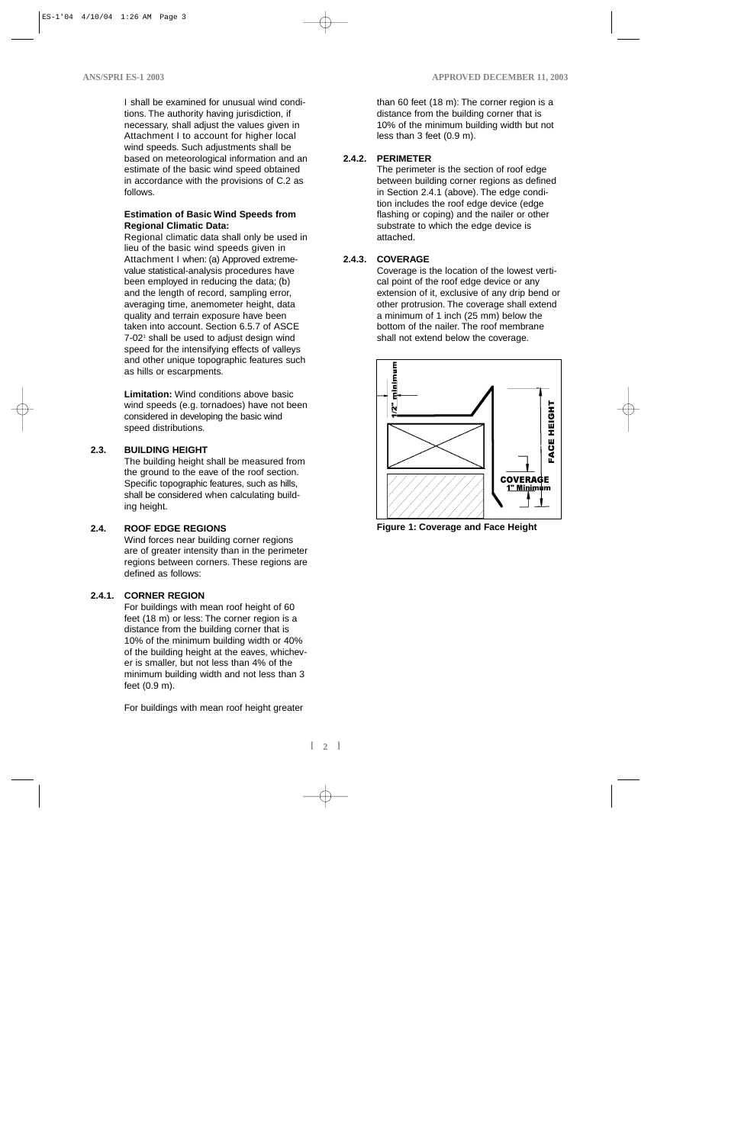I shall be examined for unusual wind conditions. The authority having jurisdiction, if necessary, shall adjust the values given in Attachment I to account for higher local wind speeds. Such adjustments shall be based on meteorological information and an estimate of the basic wind speed obtained in accordance with the provisions of C.2 as follows.

#### **Estimation of Basic Wind Speeds from Regional Climatic Data:**

Regional climatic data shall only be used in lieu of the basic wind speeds given in Attachment I when: (a) Approved extremevalue statistical-analysis procedures have been employed in reducing the data; (b) and the length of record, sampling error, averaging time, anemometer height, data quality and terrain exposure have been taken into account. Section 6.5.7 of ASCE  $7-02$ <sup>1</sup> shall be used to adjust design wind speed for the intensifying effects of valleys and other unique topographic features such as hills or escarpments.

**Limitation:** Wind conditions above basic wind speeds (e.g. tornadoes) have not been considered in developing the basic wind speed distributions.

#### **2.3. BUILDING HEIGHT**

The building height shall be measured from the ground to the eave of the roof section. Specific topographic features, such as hills, shall be considered when calculating building height.

#### **2.4. ROOF EDGE REGIONS**

Wind forces near building corner regions are of greater intensity than in the perimeter regions between corners. These regions are defined as follows:

#### **2.4.1. CORNER REGION**

For buildings with mean roof height of 60 feet (18 m) or less: The corner region is a distance from the building corner that is 10% of the minimum building width or 40% of the building height at the eaves, whichever is smaller, but not less than 4% of the minimum building width and not less than 3 feet (0.9 m).

For buildings with mean roof height greater

than 60 feet (18 m): The corner region is a distance from the building corner that is 10% of the minimum building width but not less than 3 feet (0.9 m).

#### **2.4.2. PERIMETER**

The perimeter is the section of roof edge between building corner regions as defined in Section 2.4.1 (above). The edge condition includes the roof edge device (edge flashing or coping) and the nailer or other substrate to which the edge device is attached.

#### **2.4.3. COVERAGE**

Coverage is the location of the lowest vertical point of the roof edge device or any extension of it, exclusive of any drip bend or other protrusion. The coverage shall extend a minimum of 1 inch (25 mm) below the bottom of the nailer. The roof membrane shall not extend below the coverage.



**Figure 1: Coverage and Face Height**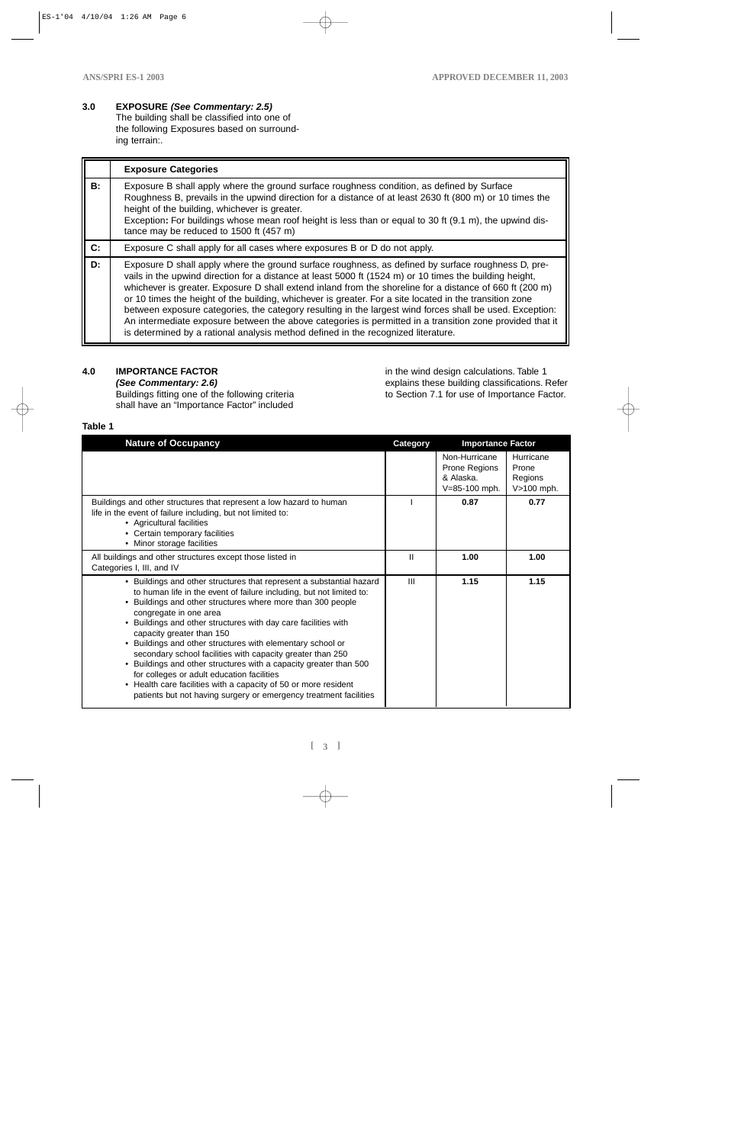# **3.0 EXPOSURE (See Commentary: 2.5)**

The building shall be classified into one of the following Exposures based on surrounding terrain:.

|                | <b>Exposure Categories</b>                                                                                                                                                                                                                                                                                                                                                                                                                                                                                                                                                                                                                                                                                                                        |
|----------------|---------------------------------------------------------------------------------------------------------------------------------------------------------------------------------------------------------------------------------------------------------------------------------------------------------------------------------------------------------------------------------------------------------------------------------------------------------------------------------------------------------------------------------------------------------------------------------------------------------------------------------------------------------------------------------------------------------------------------------------------------|
| B:             | Exposure B shall apply where the ground surface roughness condition, as defined by Surface<br>Roughness B, prevails in the upwind direction for a distance of at least 2630 ft (800 m) or 10 times the<br>height of the building, whichever is greater.<br>Exception: For buildings whose mean roof height is less than or equal to 30 ft (9.1 m), the upwind dis-<br>tance may be reduced to 1500 ft (457 m)                                                                                                                                                                                                                                                                                                                                     |
| $\mathbf{C}$ : | Exposure C shall apply for all cases where exposures B or D do not apply.                                                                                                                                                                                                                                                                                                                                                                                                                                                                                                                                                                                                                                                                         |
| D:             | Exposure D shall apply where the ground surface roughness, as defined by surface roughness D, pre-<br>vails in the upwind direction for a distance at least 5000 ft (1524 m) or 10 times the building height,<br>whichever is greater. Exposure D shall extend inland from the shoreline for a distance of 660 ft (200 m)<br>or 10 times the height of the building, whichever is greater. For a site located in the transition zone<br>between exposure categories, the category resulting in the largest wind forces shall be used. Exception:<br>An intermediate exposure between the above categories is permitted in a transition zone provided that it<br>is determined by a rational analysis method defined in the recognized literature. |

# **4.0 IMPORTANCE FACTOR**

**(See Commentary: 2.6)**  Buildings fitting one of the following criteria shall have an "Importance Factor" included

in the wind design calculations. Table 1 explains these building classifications. Refer to Section 7.1 for use of Importance Factor.

# **Table 1**

| <b>Nature of Occupancy</b>                                                                                                                                                                                                                                                                                                                                                                                                                                                                                                                                                                                                                                                                                                | Category       | <b>Importance Factor</b>                                     |                                             |
|---------------------------------------------------------------------------------------------------------------------------------------------------------------------------------------------------------------------------------------------------------------------------------------------------------------------------------------------------------------------------------------------------------------------------------------------------------------------------------------------------------------------------------------------------------------------------------------------------------------------------------------------------------------------------------------------------------------------------|----------------|--------------------------------------------------------------|---------------------------------------------|
|                                                                                                                                                                                                                                                                                                                                                                                                                                                                                                                                                                                                                                                                                                                           |                | Non-Hurricane<br>Prone Regions<br>& Alaska.<br>V=85-100 mph. | Hurricane<br>Prone<br>Regions<br>V>100 mph. |
| Buildings and other structures that represent a low hazard to human<br>life in the event of failure including, but not limited to:<br>• Agricultural facilities<br>• Certain temporary facilities<br>• Minor storage facilities                                                                                                                                                                                                                                                                                                                                                                                                                                                                                           |                | 0.87                                                         | 0.77                                        |
| All buildings and other structures except those listed in<br>Categories I, III, and IV                                                                                                                                                                                                                                                                                                                                                                                                                                                                                                                                                                                                                                    | Ш              | 1.00                                                         | 1.00                                        |
| • Buildings and other structures that represent a substantial hazard<br>to human life in the event of failure including, but not limited to:<br>• Buildings and other structures where more than 300 people<br>congregate in one area<br>Buildings and other structures with day care facilities with<br>capacity greater than 150<br>• Buildings and other structures with elementary school or<br>secondary school facilities with capacity greater than 250<br>• Buildings and other structures with a capacity greater than 500<br>for colleges or adult education facilities<br>• Health care facilities with a capacity of 50 or more resident<br>patients but not having surgery or emergency treatment facilities | $\mathbf{III}$ | 1.15                                                         | 1.15                                        |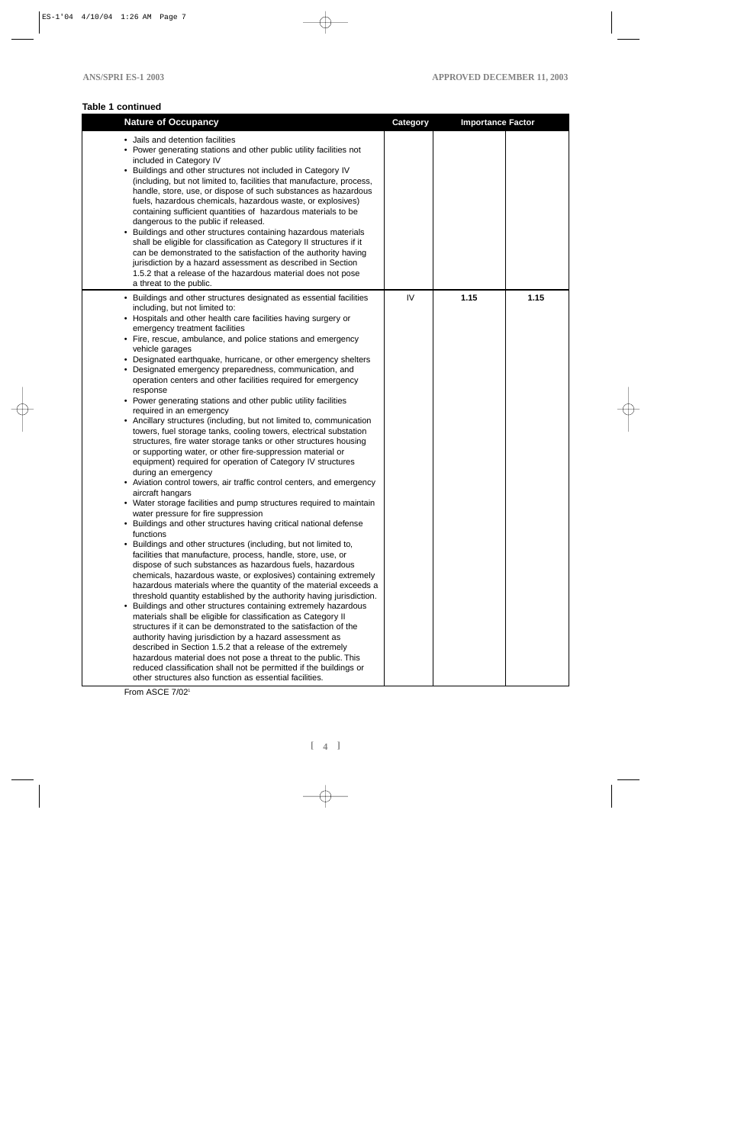# **Table 1 continued**

| <b>Nature of Occupancy</b>                                                                                                                                                                                                                                                                                                                                                                                                                                                                                                                                                                                                                                                                                                                                                                                                                                                                                                                                                                                                                                                                                                                                                                                                                                                                                                                                                                                                                                                                                                                                                                                                                                                                                                                                                                                                                                                                                                                                                                                                                                                                                                                                                                                             | <b>Category</b> | <b>Importance Factor</b> |      |
|------------------------------------------------------------------------------------------------------------------------------------------------------------------------------------------------------------------------------------------------------------------------------------------------------------------------------------------------------------------------------------------------------------------------------------------------------------------------------------------------------------------------------------------------------------------------------------------------------------------------------------------------------------------------------------------------------------------------------------------------------------------------------------------------------------------------------------------------------------------------------------------------------------------------------------------------------------------------------------------------------------------------------------------------------------------------------------------------------------------------------------------------------------------------------------------------------------------------------------------------------------------------------------------------------------------------------------------------------------------------------------------------------------------------------------------------------------------------------------------------------------------------------------------------------------------------------------------------------------------------------------------------------------------------------------------------------------------------------------------------------------------------------------------------------------------------------------------------------------------------------------------------------------------------------------------------------------------------------------------------------------------------------------------------------------------------------------------------------------------------------------------------------------------------------------------------------------------------|-----------------|--------------------------|------|
| • Jails and detention facilities<br>• Power generating stations and other public utility facilities not<br>included in Category IV<br>• Buildings and other structures not included in Category IV<br>(including, but not limited to, facilities that manufacture, process,<br>handle, store, use, or dispose of such substances as hazardous<br>fuels, hazardous chemicals, hazardous waste, or explosives)<br>containing sufficient quantities of hazardous materials to be<br>dangerous to the public if released.<br>• Buildings and other structures containing hazardous materials<br>shall be eligible for classification as Category II structures if it<br>can be demonstrated to the satisfaction of the authority having<br>jurisdiction by a hazard assessment as described in Section<br>1.5.2 that a release of the hazardous material does not pose<br>a threat to the public.                                                                                                                                                                                                                                                                                                                                                                                                                                                                                                                                                                                                                                                                                                                                                                                                                                                                                                                                                                                                                                                                                                                                                                                                                                                                                                                          |                 |                          |      |
| • Buildings and other structures designated as essential facilities<br>including, but not limited to:<br>• Hospitals and other health care facilities having surgery or<br>emergency treatment facilities<br>• Fire, rescue, ambulance, and police stations and emergency<br>vehicle garages<br>• Designated earthquake, hurricane, or other emergency shelters<br>Designated emergency preparedness, communication, and<br>operation centers and other facilities required for emergency<br>response<br>• Power generating stations and other public utility facilities<br>required in an emergency<br>• Ancillary structures (including, but not limited to, communication<br>towers, fuel storage tanks, cooling towers, electrical substation<br>structures, fire water storage tanks or other structures housing<br>or supporting water, or other fire-suppression material or<br>equipment) required for operation of Category IV structures<br>during an emergency<br>• Aviation control towers, air traffic control centers, and emergency<br>aircraft hangars<br>• Water storage facilities and pump structures required to maintain<br>water pressure for fire suppression<br>• Buildings and other structures having critical national defense<br>functions<br>• Buildings and other structures (including, but not limited to,<br>facilities that manufacture, process, handle, store, use, or<br>dispose of such substances as hazardous fuels, hazardous<br>chemicals, hazardous waste, or explosives) containing extremely<br>hazardous materials where the quantity of the material exceeds a<br>threshold quantity established by the authority having jurisdiction.<br>• Buildings and other structures containing extremely hazardous<br>materials shall be eligible for classification as Category II<br>structures if it can be demonstrated to the satisfaction of the<br>authority having jurisdiction by a hazard assessment as<br>described in Section 1.5.2 that a release of the extremely<br>hazardous material does not pose a threat to the public. This<br>reduced classification shall not be permitted if the buildings or<br>other structures also function as essential facilities. | IV              | 1.15                     | 1.15 |

From ASCE 7/02<sup>1</sup>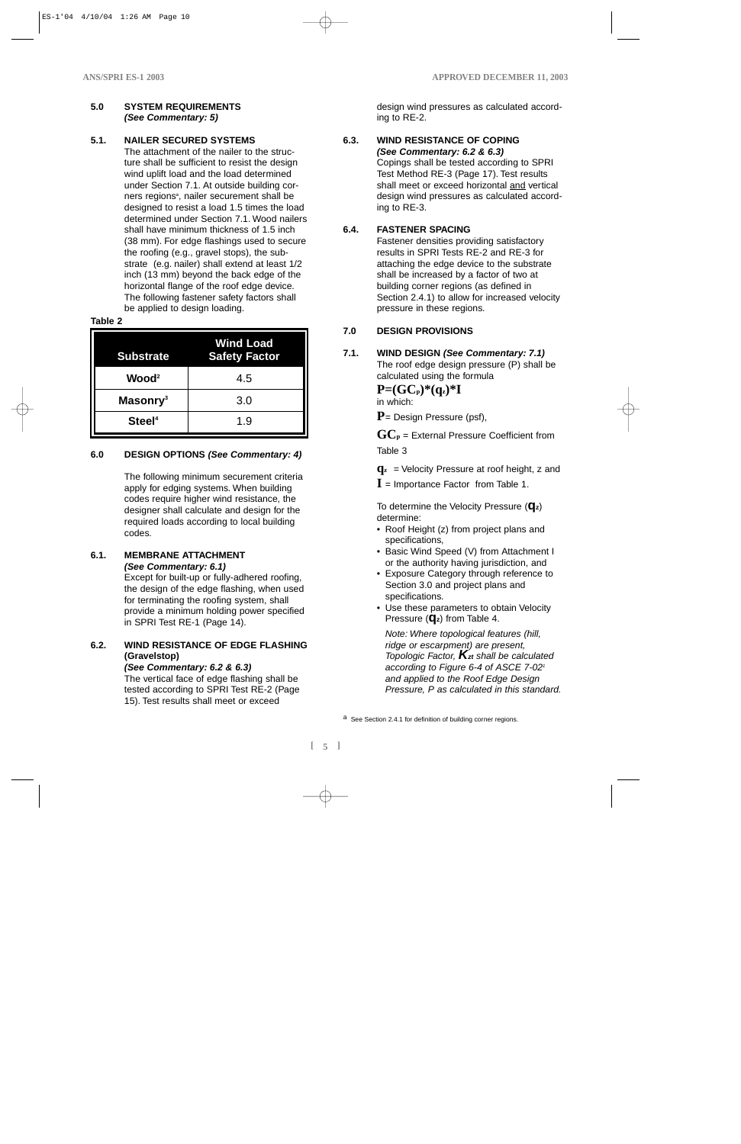#### **5.0 SYSTEM REQUIREMENTS (See Commentary: 5)**

### **5.1. NAILER SECURED SYSTEMS**

The attachment of the nailer to the structure shall be sufficient to resist the design wind uplift load and the load determined under Section 7.1. At outside building corners regions<sup>a</sup>, nailer securement shall be designed to resist a load 1.5 times the load determined under Section 7.1. Wood nailers shall have minimum thickness of 1.5 inch (38 mm). For edge flashings used to secure the roofing (e.g., gravel stops), the substrate (e.g. nailer) shall extend at least 1/2 inch (13 mm) beyond the back edge of the horizontal flange of the roof edge device. The following fastener safety factors shall be applied to design loading.

#### **Table 2**

| <b>Substrate</b>     | <b>Wind Load</b><br><b>Safety Factor</b> |
|----------------------|------------------------------------------|
| Wood <sup>2</sup>    | 4.5                                      |
| Masonry <sup>3</sup> | 3.0                                      |
| Steel <sup>4</sup>   | 1.9                                      |

# **6.0 DESIGN OPTIONS (See Commentary: 4)**

The following minimum securement criteria apply for edging systems. When building codes require higher wind resistance, the designer shall calculate and design for the required loads according to local building codes.

# **6.1. MEMBRANE ATTACHMENT (See Commentary: 6.1)**

Except for built-up or fully-adhered roofing, the design of the edge flashing, when used for terminating the roofing system, shall provide a minimum holding power specified in SPRI Test RE-1 (Page 14).

# **6.2. WIND RESISTANCE OF EDGE FLASHING (Gravelstop)**

**(See Commentary: 6.2 & 6.3)** The vertical face of edge flashing shall be tested according to SPRI Test RE-2 (Page 15). Test results shall meet or exceed

design wind pressures as calculated according to RE-2.

#### **6.3. WIND RESISTANCE OF COPING (See Commentary: 6.2 & 6.3)**

Copings shall be tested according to SPRI Test Method RE-3 (Page 17). Test results shall meet or exceed horizontal and vertical design wind pressures as calculated according to RE-3.

# **6.4. FASTENER SPACING**

Fastener densities providing satisfactory results in SPRI Tests RE-2 and RE-3 for attaching the edge device to the substrate shall be increased by a factor of two at building corner regions (as defined in Section 2.4.1) to allow for increased velocity pressure in these regions.

# **7.0 DESIGN PROVISIONS**

# **7.1. WIND DESIGN (See Commentary: 7.1)**

The roof edge design pressure (P) shall be calculated using the formula

 $P=(GC_p)^*(q_z)^*I$ 

in which:

**P**= Design Pressure (psf),

 $\mathbf{GC}_{\mathbf{p}}$  = External Pressure Coefficient from Table 3

- **qz** = Velocity Pressure at roof height, z and
- $I =$  Importance Factor from Table 1.

To determine the Velocity Pressure (**qz**) determine:

- Roof Height (z) from project plans and specifications,
- Basic Wind Speed (V) from Attachment I or the authority having jurisdiction, and
- Exposure Category through reference to Section 3.0 and project plans and specifications.
- Use these parameters to obtain Velocity Pressure (**qz**) from Table 4.

Note: Where topological features (hill, ridge or escarpment) are present, Topologic Factor, **Kzt** shall be calculated according to Figure 6-4 of ASCE 7-02<sup>1</sup> and applied to the Roof Edge Design Pressure, P as calculated in this standard.

a See Section 2.4.1 for definition of building corner regions.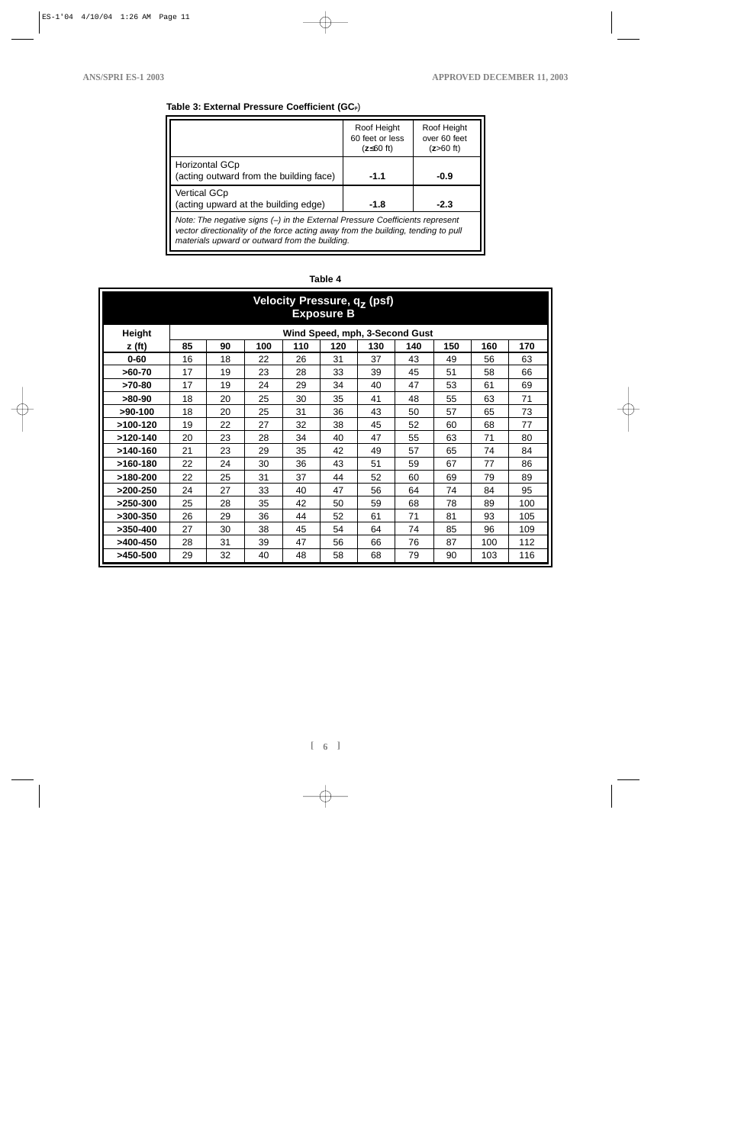# **Table 3: External Pressure Coefficient (GCp**)

|                                                                                                                                                                                                                     | Roof Height<br>60 feet or less<br>$(z \leq 60$ ft) | Roof Height<br>over 60 feet<br>$(z>60$ ft) |
|---------------------------------------------------------------------------------------------------------------------------------------------------------------------------------------------------------------------|----------------------------------------------------|--------------------------------------------|
| Horizontal GCp<br>(acting outward from the building face)                                                                                                                                                           | $-1.1$                                             | $-0.9$                                     |
| <b>Vertical GCp</b><br>(acting upward at the building edge)                                                                                                                                                         | $-1.8$                                             | $-2.3$                                     |
| Note: The negative signs (-) in the External Pressure Coefficients represent<br>vector directionality of the force acting away from the building, tending to pull<br>materials upward or outward from the building. |                                                    |                                            |

# **Table 4**

| Velocity Pressure, qz (psf)<br><b>Exposure B</b> |    |    |     |     |     |     |                                |     |     |     |
|--------------------------------------------------|----|----|-----|-----|-----|-----|--------------------------------|-----|-----|-----|
| <b>Height</b>                                    |    |    |     |     |     |     | Wind Speed, mph, 3-Second Gust |     |     |     |
| z(ft)                                            | 85 | 90 | 100 | 110 | 120 | 130 | 140                            | 150 | 160 | 170 |
| $0 - 60$                                         | 16 | 18 | 22  | 26  | 31  | 37  | 43                             | 49  | 56  | 63  |
| $>60-70$                                         | 17 | 19 | 23  | 28  | 33  | 39  | 45                             | 51  | 58  | 66  |
| $>70-80$                                         | 17 | 19 | 24  | 29  | 34  | 40  | 47                             | 53  | 61  | 69  |
| $>80-90$                                         | 18 | 20 | 25  | 30  | 35  | 41  | 48                             | 55  | 63  | 71  |
| $>90-100$                                        | 18 | 20 | 25  | 31  | 36  | 43  | 50                             | 57  | 65  | 73  |
| $>100-120$                                       | 19 | 22 | 27  | 32  | 38  | 45  | 52                             | 60  | 68  | 77  |
| $>120-140$                                       | 20 | 23 | 28  | 34  | 40  | 47  | 55                             | 63  | 71  | 80  |
| $>140-160$                                       | 21 | 23 | 29  | 35  | 42  | 49  | 57                             | 65  | 74  | 84  |
| $>160-180$                                       | 22 | 24 | 30  | 36  | 43  | 51  | 59                             | 67  | 77  | 86  |
| $>180-200$                                       | 22 | 25 | 31  | 37  | 44  | 52  | 60                             | 69  | 79  | 89  |
| $>200-250$                                       | 24 | 27 | 33  | 40  | 47  | 56  | 64                             | 74  | 84  | 95  |
| $>250-300$                                       | 25 | 28 | 35  | 42  | 50  | 59  | 68                             | 78  | 89  | 100 |
| $>300-350$                                       | 26 | 29 | 36  | 44  | 52  | 61  | 71                             | 81  | 93  | 105 |
| $>350-400$                                       | 27 | 30 | 38  | 45  | 54  | 64  | 74                             | 85  | 96  | 109 |
| >400-450                                         | 28 | 31 | 39  | 47  | 56  | 66  | 76                             | 87  | 100 | 112 |
| $>450-500$                                       | 29 | 32 | 40  | 48  | 58  | 68  | 79                             | 90  | 103 | 116 |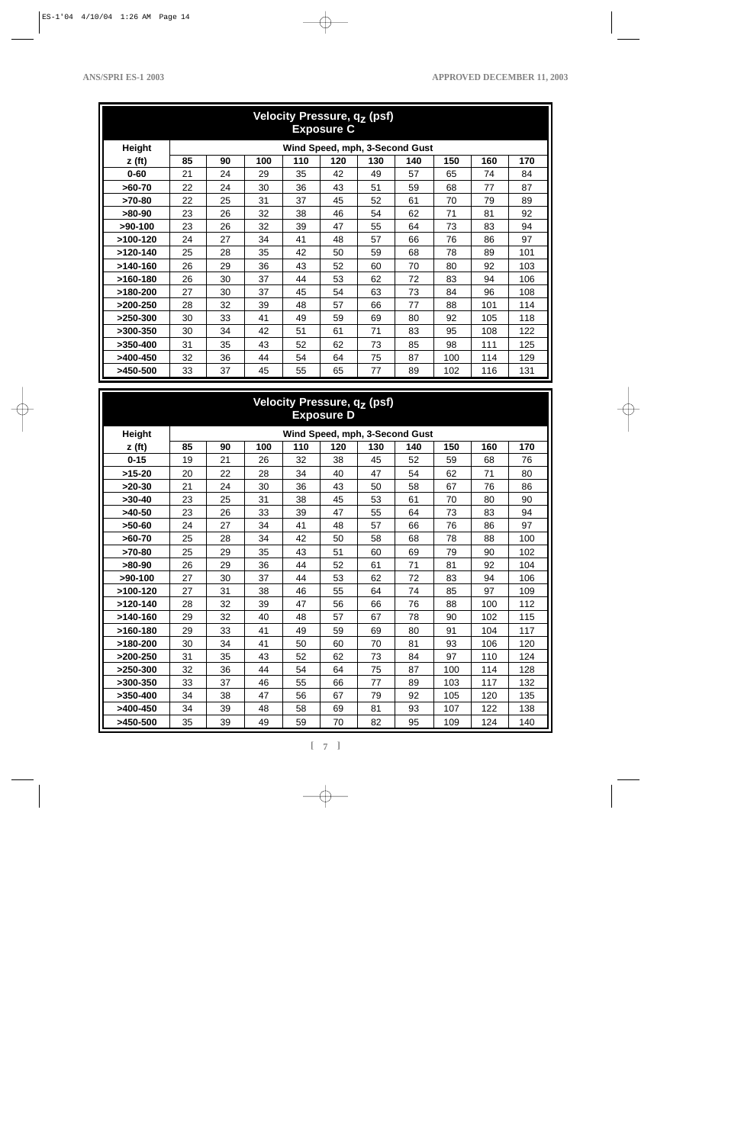| Velocity Pressure, q <sub>7</sub> (psf)<br><b>Exposure C</b> |    |    |     |     |     |     |                                |     |     |     |
|--------------------------------------------------------------|----|----|-----|-----|-----|-----|--------------------------------|-----|-----|-----|
| <b>Height</b>                                                |    |    |     |     |     |     | Wind Speed, mph, 3-Second Gust |     |     |     |
| z(ft)                                                        | 85 | 90 | 100 | 110 | 120 | 130 | 140                            | 150 | 160 | 170 |
| $0 - 60$                                                     | 21 | 24 | 29  | 35  | 42  | 49  | 57                             | 65  | 74  | 84  |
| $>60-70$                                                     | 22 | 24 | 30  | 36  | 43  | 51  | 59                             | 68  | 77  | 87  |
| $>70-80$                                                     | 22 | 25 | 31  | 37  | 45  | 52  | 61                             | 70  | 79  | 89  |
| $>80-90$                                                     | 23 | 26 | 32  | 38  | 46  | 54  | 62                             | 71  | 81  | 92  |
| $>90-100$                                                    | 23 | 26 | 32  | 39  | 47  | 55  | 64                             | 73  | 83  | 94  |
| $>100-120$                                                   | 24 | 27 | 34  | 41  | 48  | 57  | 66                             | 76  | 86  | 97  |
| $>120-140$                                                   | 25 | 28 | 35  | 42  | 50  | 59  | 68                             | 78  | 89  | 101 |
| $>140-160$                                                   | 26 | 29 | 36  | 43  | 52  | 60  | 70                             | 80  | 92  | 103 |
| $>160-180$                                                   | 26 | 30 | 37  | 44  | 53  | 62  | 72                             | 83  | 94  | 106 |
| $>180-200$                                                   | 27 | 30 | 37  | 45  | 54  | 63  | 73                             | 84  | 96  | 108 |
| $>200-250$                                                   | 28 | 32 | 39  | 48  | 57  | 66  | 77                             | 88  | 101 | 114 |
| $>250-300$                                                   | 30 | 33 | 41  | 49  | 59  | 69  | 80                             | 92  | 105 | 118 |
| $>300-350$                                                   | 30 | 34 | 42  | 51  | 61  | 71  | 83                             | 95  | 108 | 122 |
| $>350-400$                                                   | 31 | 35 | 43  | 52  | 62  | 73  | 85                             | 98  | 111 | 125 |
| >400-450                                                     | 32 | 36 | 44  | 54  | 64  | 75  | 87                             | 100 | 114 | 129 |
| $>450-500$                                                   | 33 | 37 | 45  | 55  | 65  | 77  | 89                             | 102 | 116 | 131 |

# **Velocity Pressure, qz (psf) Exposure D**

| <b>Height</b><br>Wind Speed, mph, 3-Second Gust |    |    |     |     |     |     |     |     |     |     |
|-------------------------------------------------|----|----|-----|-----|-----|-----|-----|-----|-----|-----|
| z(ft)                                           | 85 | 90 | 100 | 110 | 120 | 130 | 140 | 150 | 160 | 170 |
| $0 - 15$                                        | 19 | 21 | 26  | 32  | 38  | 45  | 52  | 59  | 68  | 76  |
| $>15-20$                                        | 20 | 22 | 28  | 34  | 40  | 47  | 54  | 62  | 71  | 80  |
| $>20-30$                                        | 21 | 24 | 30  | 36  | 43  | 50  | 58  | 67  | 76  | 86  |
| $>30-40$                                        | 23 | 25 | 31  | 38  | 45  | 53  | 61  | 70  | 80  | 90  |
| $>40-50$                                        | 23 | 26 | 33  | 39  | 47  | 55  | 64  | 73  | 83  | 94  |
| $>50-60$                                        | 24 | 27 | 34  | 41  | 48  | 57  | 66  | 76  | 86  | 97  |
| $>60-70$                                        | 25 | 28 | 34  | 42  | 50  | 58  | 68  | 78  | 88  | 100 |
| $>70-80$                                        | 25 | 29 | 35  | 43  | 51  | 60  | 69  | 79  | 90  | 102 |
| $>80-90$                                        | 26 | 29 | 36  | 44  | 52  | 61  | 71  | 81  | 92  | 104 |
| $>90-100$                                       | 27 | 30 | 37  | 44  | 53  | 62  | 72  | 83  | 94  | 106 |
| $>100-120$                                      | 27 | 31 | 38  | 46  | 55  | 64  | 74  | 85  | 97  | 109 |
| $>120-140$                                      | 28 | 32 | 39  | 47  | 56  | 66  | 76  | 88  | 100 | 112 |
| $>140-160$                                      | 29 | 32 | 40  | 48  | 57  | 67  | 78  | 90  | 102 | 115 |
| $>160-180$                                      | 29 | 33 | 41  | 49  | 59  | 69  | 80  | 91  | 104 | 117 |
| $>180-200$                                      | 30 | 34 | 41  | 50  | 60  | 70  | 81  | 93  | 106 | 120 |
| $>200-250$                                      | 31 | 35 | 43  | 52  | 62  | 73  | 84  | 97  | 110 | 124 |
| $>250-300$                                      | 32 | 36 | 44  | 54  | 64  | 75  | 87  | 100 | 114 | 128 |
| $>300-350$                                      | 33 | 37 | 46  | 55  | 66  | 77  | 89  | 103 | 117 | 132 |
| $>350-400$                                      | 34 | 38 | 47  | 56  | 67  | 79  | 92  | 105 | 120 | 135 |
| $>400-450$                                      | 34 | 39 | 48  | 58  | 69  | 81  | 93  | 107 | 122 | 138 |
| >450-500                                        | 35 | 39 | 49  | 59  | 70  | 82  | 95  | 109 | 124 | 140 |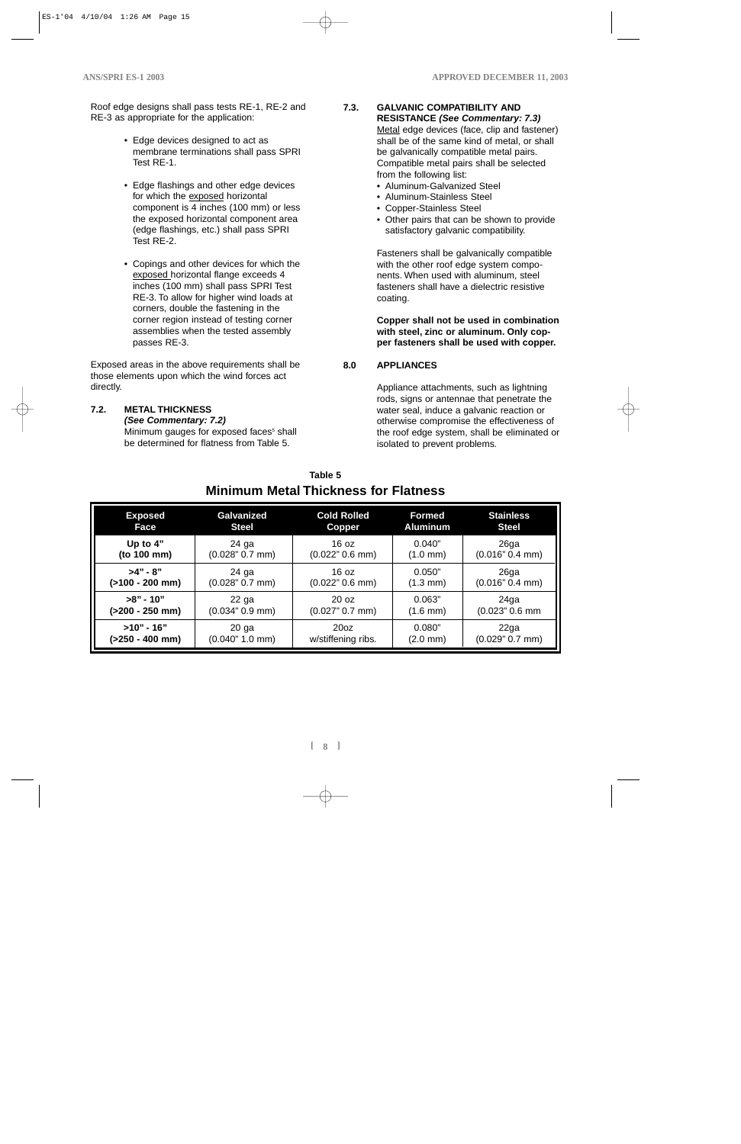Roof edge designs shall pass tests RE-1, RE-2 and RE-3 as appropriate for the application:

- Edge devices designed to act as membrane terminations shall pass SPRI Test RE-1.
- Edge flashings and other edge devices for which the exposed horizontal component is 4 inches (100 mm) or less the exposed horizontal component area (edge flashings, etc.) shall pass SPRI Test RE-2.
- Copings and other devices for which the exposed horizontal flange exceeds 4 inches (100 mm) shall pass SPRI Test RE-3. To allow for higher wind loads at corners, double the fastening in the corner region instead of testing corner assemblies when the tested assembly passes RE-3.

Exposed areas in the above requirements shall be those elements upon which the wind forces act directly.

**7.2. METAL THICKNESS (See Commentary: 7.2)**

Minimum gauges for exposed faces<sup>5</sup> shall be determined for flatness from Table 5.

#### **7.3. GALVANIC COMPATIBILITY AND RESISTANCE (See Commentary: 7.3)**

Metal edge devices (face, clip and fastener) shall be of the same kind of metal, or shall be galvanically compatible metal pairs. Compatible metal pairs shall be selected from the following list:

- Aluminum-Galvanized Steel
- Aluminum-Stainless Steel
- Copper-Stainless Steel
- Other pairs that can be shown to provide satisfactory galvanic compatibility.

Fasteners shall be galvanically compatible with the other roof edge system components. When used with aluminum, steel fasteners shall have a dielectric resistive coating.

**Copper shall not be used in combination with steel, zinc or aluminum. Only copper fasteners shall be used with copper.**

# **8.0 APPLIANCES**

Appliance attachments, such as lightning rods, signs or antennae that penetrate the water seal, induce a galvanic reaction or otherwise compromise the effectiveness of the roof edge system, shall be eliminated or isolated to prevent problems.

| <b>Exposed</b>    | Galvanized      | <b>Cold Rolled</b> | <b>Formed</b>        | <b>Stainless</b>  |
|-------------------|-----------------|--------------------|----------------------|-------------------|
| Face              | <b>Steel</b>    | Copper             | <b>Aluminum</b>      | <b>Steel</b>      |
| Up to $4"$        | 24 ga           | 16 oz              | 0.040"               | 26 <sub>g</sub> a |
| (to 100 mm)       | (0.028" 0.7 mm) | $(0.022" 0.6$ mm)  | $(1.0 \text{ mm})$   | (0.016" 0.4 mm)   |
| $>4" - 8"$        | 24 ga           | 16 oz              | 0.050"               | 26 <sub>g</sub> a |
| $(>100 - 200$ mm) | (0.028" 0.7 mm) | $(0.022" 0.6$ mm)  | $(1.3 \, \text{mm})$ | (0.016" 0.4 mm)   |
| $>8"$ - 10"       | 22 ga           | 20 <sub>oz</sub>   | 0.063"               | 24ga              |
| (>200 - 250 mm)   | (0.034" 0.9 mm) | (0.027" 0.7 mm)    | $(1.6 \, \text{mm})$ | (0.023" 0.6 mm    |
| $>10"$ - 16"      | $20$ ga         | 20 <sub>oz</sub>   | 0.080"               | 22ga              |
| (>250 - 400 mm)   | (0.040" 1.0 mm) | w/stiffening ribs. | $(2.0 \text{ mm})$   | (0.029" 0.7 mm)   |

# **Table 5 Minimum Metal Thickness for Flatness**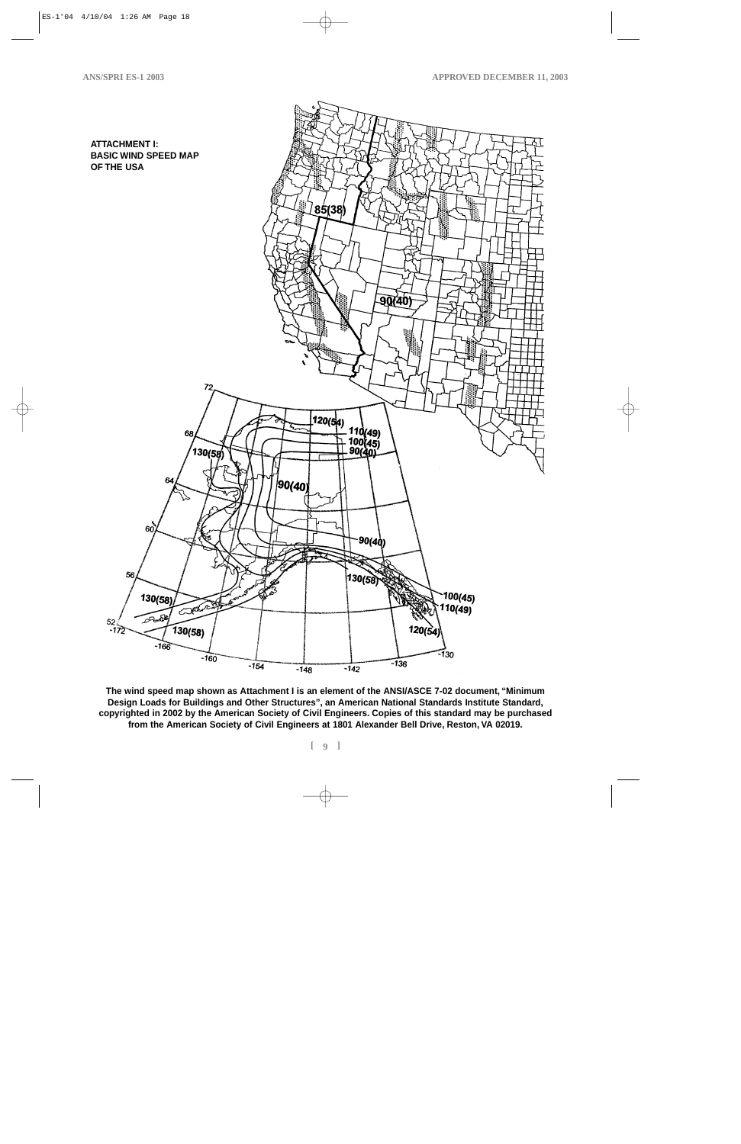

**The wind speed map shown as Attachment I is an element of the ANSI/ASCE 7-02 document, "Minimum Design Loads for Buildings and Other Structures", an American National Standards Institute Standard, copyrighted in 2002 by the American Society of Civil Engineers. Copies of this standard may be purchased from the American Society of Civil Engineers at 1801 Alexander Bell Drive, Reston, VA 02019.**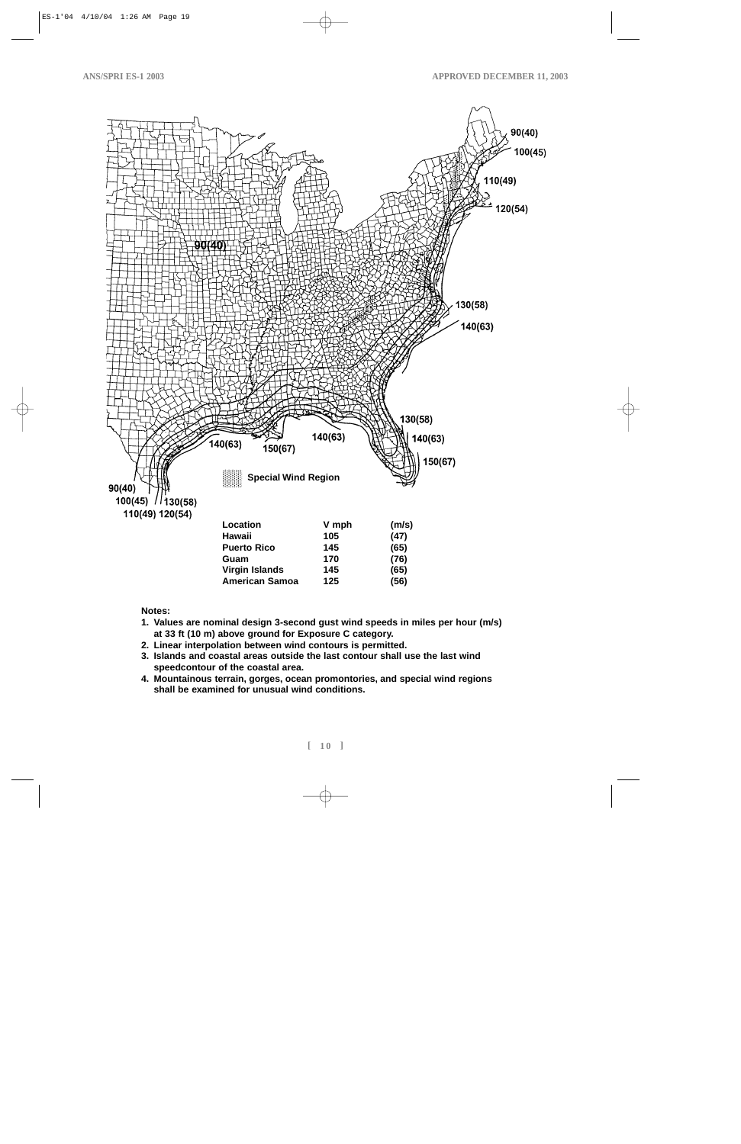

**Notes:**

- **1. Values are nominal design 3-second gust wind speeds in miles per hour (m/s) at 33 ft (10 m) above ground for Exposure C category.**
- **2. Linear interpolation between wind contours is permitted.**
- **3. Islands and coastal areas outside the last contour shall use the last wind speedcontour of the coastal area.**
- **4. Mountainous terrain, gorges, ocean promontories, and special wind regions shall be examined for unusual wind conditions.**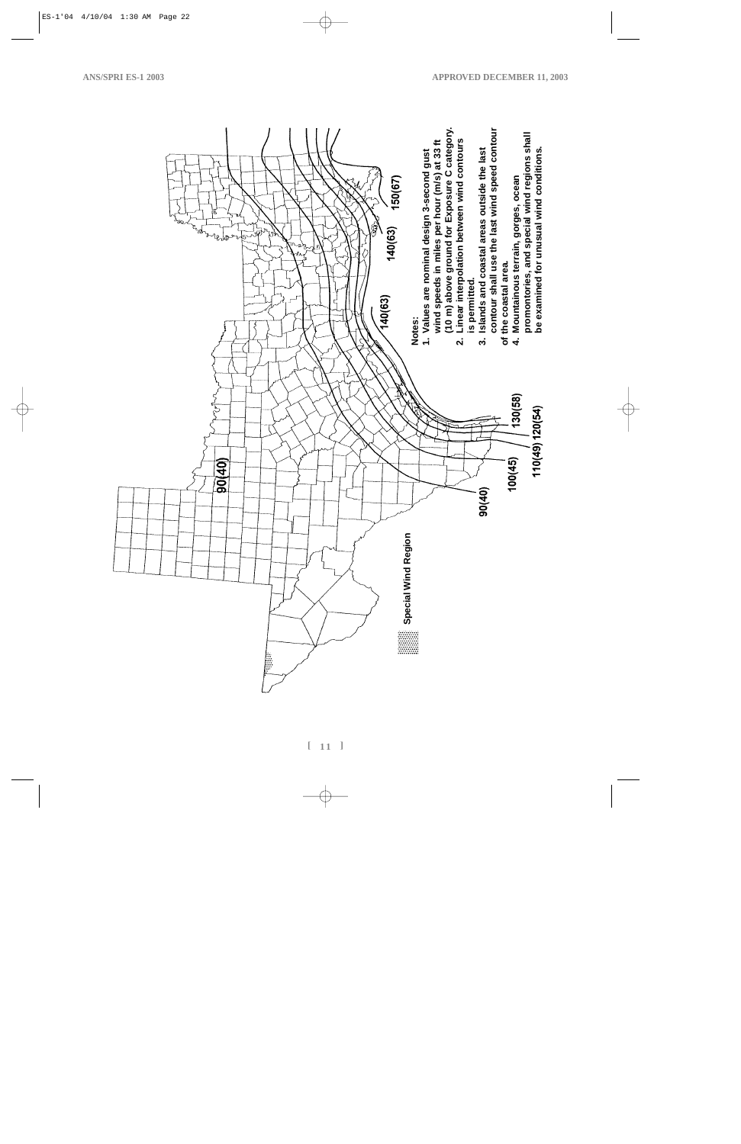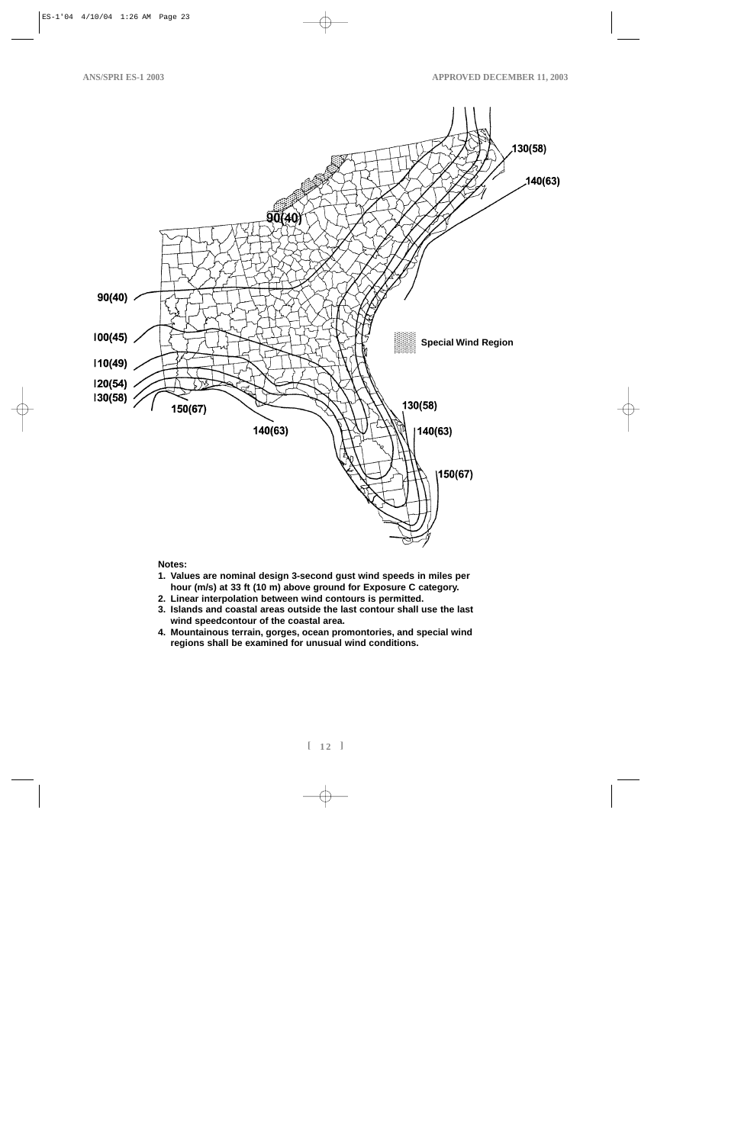

#### **Notes:**

- **1. Values are nominal design 3-second gust wind speeds in miles per hour (m/s) at 33 ft (10 m) above ground for Exposure C category.**
- **2. Linear interpolation between wind contours is permitted.**
- **3. Islands and coastal areas outside the last contour shall use the last wind speedcontour of the coastal area.**
- **4. Mountainous terrain, gorges, ocean promontories, and special wind regions shall be examined for unusual wind conditions.**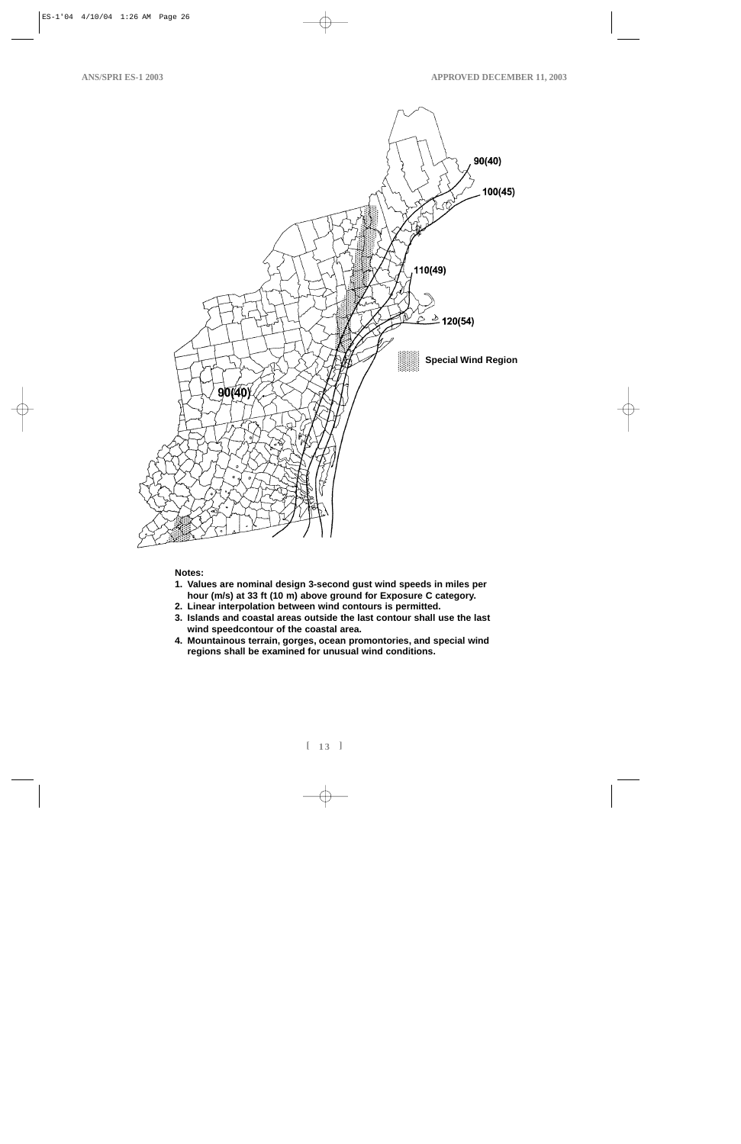

#### **Notes:**

- **1. Values are nominal design 3-second gust wind speeds in miles per hour (m/s) at 33 ft (10 m) above ground for Exposure C category.**
- **2. Linear interpolation between wind contours is permitted.**
- **3. Islands and coastal areas outside the last contour shall use the last wind speedcontour of the coastal area.**
- **4. Mountainous terrain, gorges, ocean promontories, and special wind regions shall be examined for unusual wind conditions.**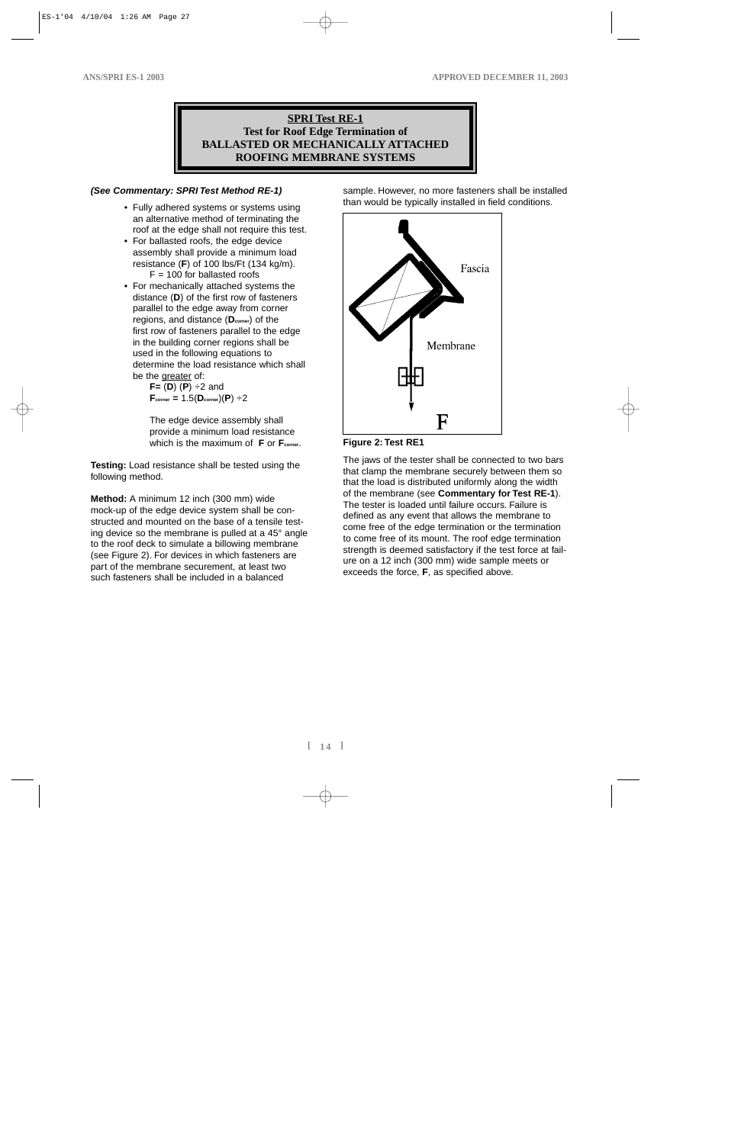# **SPRI Test RE-1 Test for Roof Edge Termination of BALLASTED OR MECHANICALLY ATTACHED ROOFING MEMBRANE SYSTEMS**

#### **(See Commentary: SPRI Test Method RE-1)**

- Fully adhered systems or systems using an alternative method of terminating the roof at the edge shall not require this test.
- For ballasted roofs, the edge device assembly shall provide a minimum load resistance (**F**) of 100 lbs/Ft (134 kg/m).  $F = 100$  for ballasted roofs
- For mechanically attached systems the distance (**D**) of the first row of fasteners parallel to the edge away from corner regions, and distance (**Dcorner**) of the first row of fasteners parallel to the edge in the building corner regions shall be used in the following equations to determine the load resistance which shall be the greater of:

**F=** (**D**) (**P**) ÷2 and  $\mathbf{F}_{\text{corner}} = 1.5(\mathbf{D}_{\text{corner}})(\mathbf{P}) \div 2$ 

The edge device assembly shall provide a minimum load resistance which is the maximum of **F** or **F**<sub>corner</sub>.

**Testing:** Load resistance shall be tested using the following method.

**Method:** A minimum 12 inch (300 mm) wide mock-up of the edge device system shall be constructed and mounted on the base of a tensile testing device so the membrane is pulled at a 45° angle to the roof deck to simulate a billowing membrane (see Figure 2). For devices in which fasteners are part of the membrane securement, at least two such fasteners shall be included in a balanced

sample. However, no more fasteners shall be installed than would be typically installed in field conditions.





The jaws of the tester shall be connected to two bars that clamp the membrane securely between them so that the load is distributed uniformly along the width of the membrane (see **Commentary for Test RE-1**). The tester is loaded until failure occurs. Failure is defined as any event that allows the membrane to come free of the edge termination or the termination to come free of its mount. The roof edge termination strength is deemed satisfactory if the test force at failure on a 12 inch (300 mm) wide sample meets or exceeds the force, **F**, as specified above.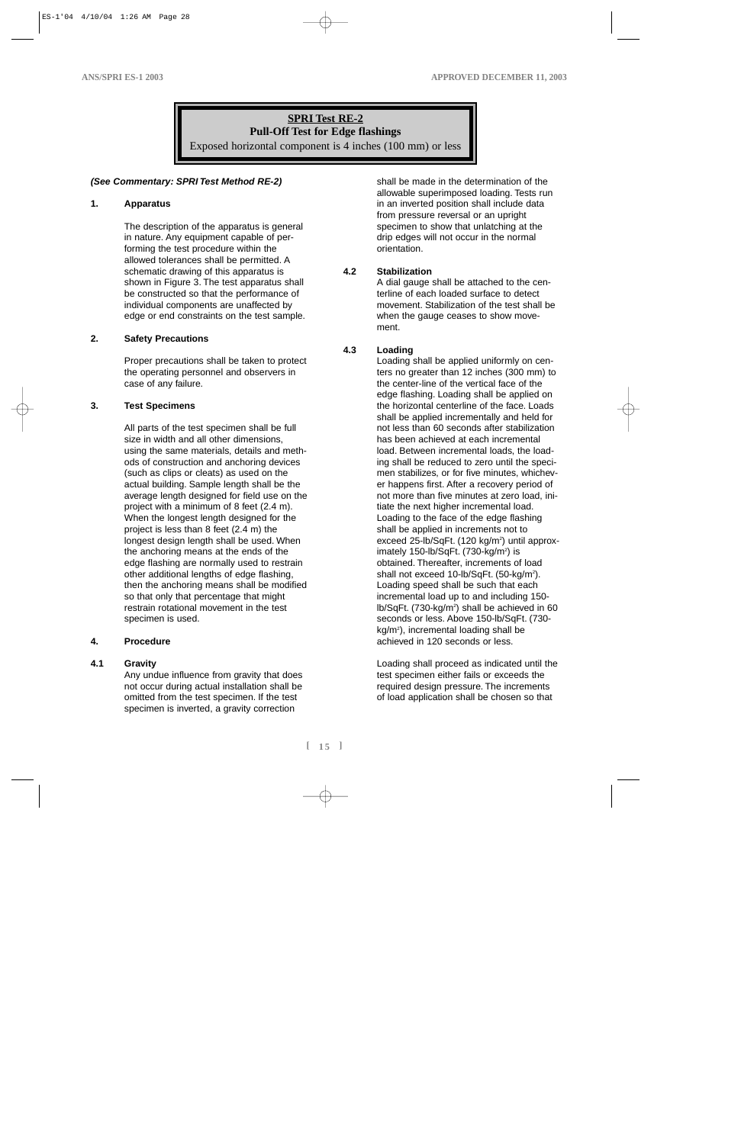# **SPRI Test RE-2 Pull-Off Test for Edge flashings**

Exposed horizontal component is 4 inches (100 mm) or less

# **(See Commentary: SPRI Test Method RE-2)**

# **1. Apparatus**

The description of the apparatus is general in nature. Any equipment capable of performing the test procedure within the allowed tolerances shall be permitted. A schematic drawing of this apparatus is shown in Figure 3. The test apparatus shall be constructed so that the performance of individual components are unaffected by edge or end constraints on the test sample.

#### **2. Safety Precautions**

Proper precautions shall be taken to protect the operating personnel and observers in case of any failure.

#### **3. Test Specimens**

All parts of the test specimen shall be full size in width and all other dimensions, using the same materials, details and methods of construction and anchoring devices (such as clips or cleats) as used on the actual building. Sample length shall be the average length designed for field use on the project with a minimum of 8 feet (2.4 m). When the longest length designed for the project is less than 8 feet (2.4 m) the longest design length shall be used. When the anchoring means at the ends of the edge flashing are normally used to restrain other additional lengths of edge flashing, then the anchoring means shall be modified so that only that percentage that might restrain rotational movement in the test specimen is used.

#### **4. Procedure**

#### **4.1 Gravity**

Any undue influence from gravity that does not occur during actual installation shall be omitted from the test specimen. If the test specimen is inverted, a gravity correction

shall be made in the determination of the allowable superimposed loading. Tests run in an inverted position shall include data from pressure reversal or an upright specimen to show that unlatching at the drip edges will not occur in the normal orientation.

#### **4.2 Stabilization**

A dial gauge shall be attached to the centerline of each loaded surface to detect movement. Stabilization of the test shall be when the gauge ceases to show movement.

# **4.3 Loading**

Loading shall be applied uniformly on centers no greater than 12 inches (300 mm) to the center-line of the vertical face of the edge flashing. Loading shall be applied on the horizontal centerline of the face. Loads shall be applied incrementally and held for not less than 60 seconds after stabilization has been achieved at each incremental load. Between incremental loads, the loading shall be reduced to zero until the specimen stabilizes, or for five minutes, whichever happens first. After a recovery period of not more than five minutes at zero load, initiate the next higher incremental load. Loading to the face of the edge flashing shall be applied in increments not to exceed 25-lb/SqFt. (120 kg/m<sup>2</sup>) until approximately 150-lb/SqFt. (730-kg/m<sup>2</sup>) is obtained. Thereafter, increments of load shall not exceed 10-lb/SqFt. (50-kg/m<sup>2</sup>). Loading speed shall be such that each incremental load up to and including 150 lb/SqFt. (730-kg/m<sup>2</sup>) shall be achieved in 60 seconds or less. Above 150-lb/SqFt. (730 kg/m2 ), incremental loading shall be achieved in 120 seconds or less.

Loading shall proceed as indicated until the test specimen either fails or exceeds the required design pressure. The increments of load application shall be chosen so that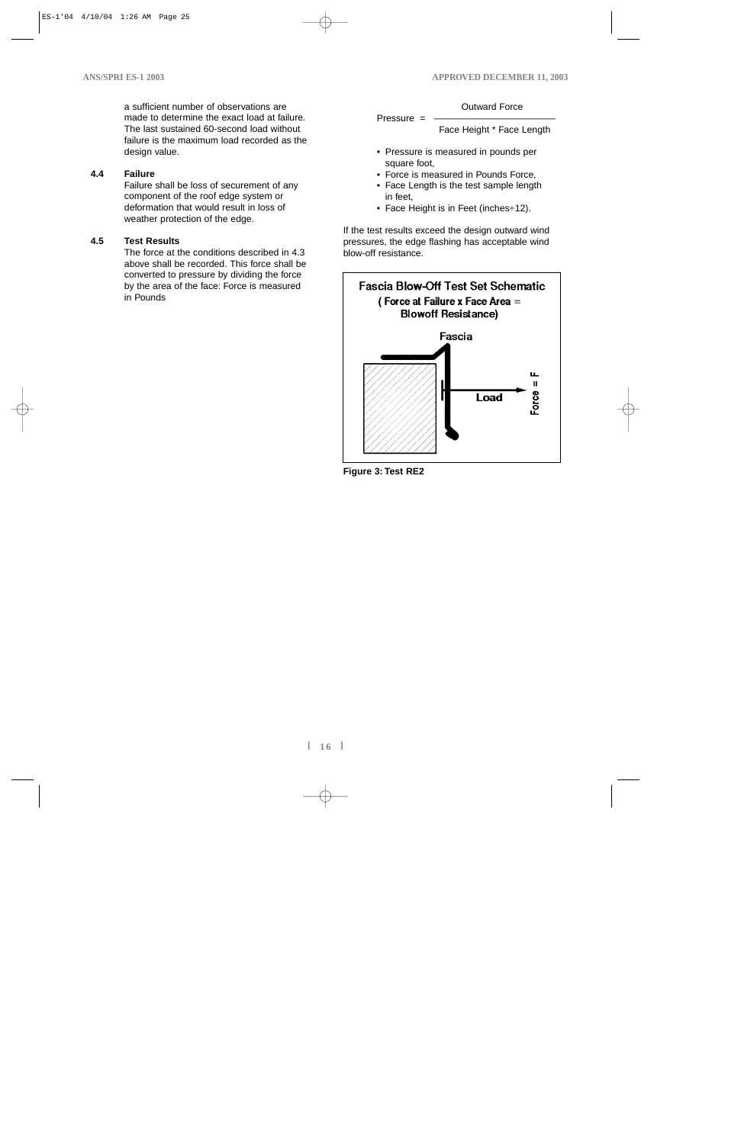a sufficient number of observations are made to determine the exact load at failure. The last sustained 60-second load without failure is the maximum load recorded as the design value.

# **4.4 Failure**

Failure shall be loss of securement of any component of the roof edge system or deformation that would result in loss of weather protection of the edge.

# **4.5 Test Results**

The force at the conditions described in 4.3 above shall be recorded. This force shall be converted to pressure by dividing the force by the area of the face: Force is measured in Pounds

#### Outward Force

 $Pressure =$ Face Height \* Face Length

- Pressure is measured in pounds per square foot,
- Force is measured in Pounds Force,
- Face Length is the test sample length in feet,
- Face Height is in Feet (inches÷12).

If the test results exceed the design outward wind pressures, the edge flashing has acceptable wind blow-off resistance.



**Figure 3: Test RE2**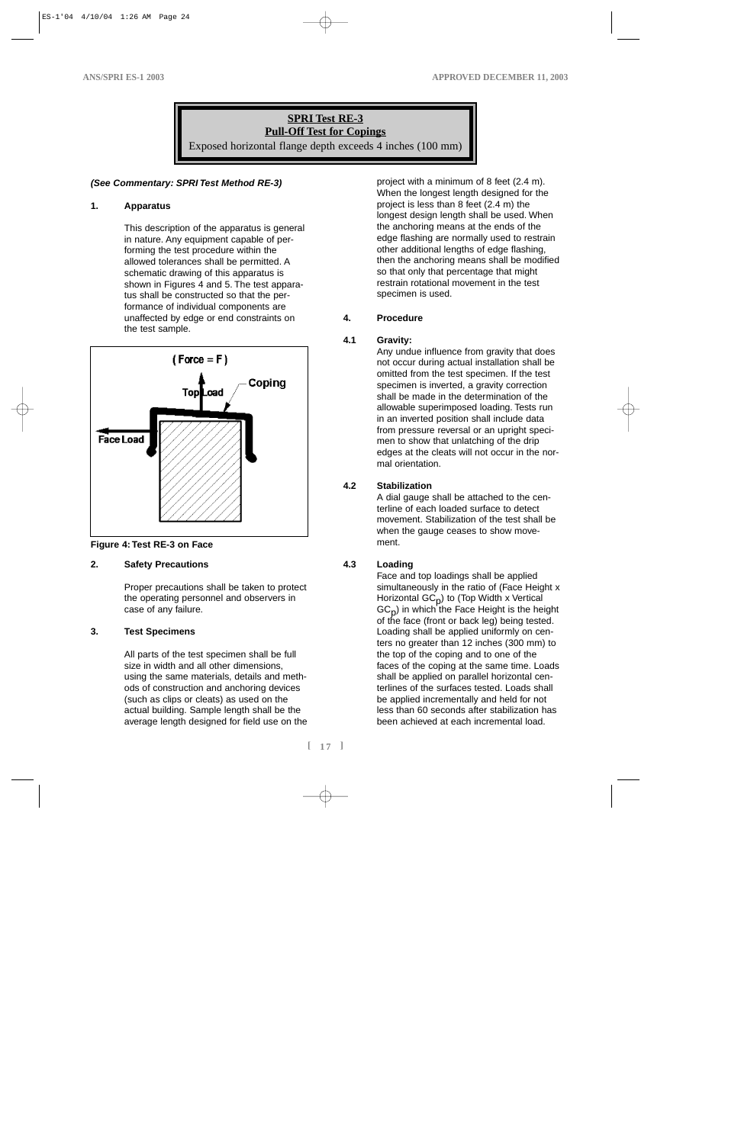# **SPRI Test RE-3 Pull-Off Test for Copings** Exposed horizontal flange depth exceeds 4 inches (100 mm)

#### **(See Commentary: SPRI Test Method RE-3)**

#### **1. Apparatus**

This description of the apparatus is general in nature. Any equipment capable of performing the test procedure within the allowed tolerances shall be permitted. A schematic drawing of this apparatus is shown in Figures 4 and 5. The test apparatus shall be constructed so that the performance of individual components are unaffected by edge or end constraints on the test sample.





# **2. Safety Precautions**

Proper precautions shall be taken to protect the operating personnel and observers in case of any failure.

#### **3. Test Specimens**

All parts of the test specimen shall be full size in width and all other dimensions, using the same materials, details and methods of construction and anchoring devices (such as clips or cleats) as used on the actual building. Sample length shall be the average length designed for field use on the

project with a minimum of 8 feet (2.4 m). When the longest length designed for the project is less than 8 feet (2.4 m) the longest design length shall be used. When the anchoring means at the ends of the edge flashing are normally used to restrain other additional lengths of edge flashing, then the anchoring means shall be modified so that only that percentage that might restrain rotational movement in the test specimen is used.

# **4. Procedure**

# **4.1 Gravity:**

Any undue influence from gravity that does not occur during actual installation shall be omitted from the test specimen. If the test specimen is inverted, a gravity correction shall be made in the determination of the allowable superimposed loading. Tests run in an inverted position shall include data from pressure reversal or an upright specimen to show that unlatching of the drip edges at the cleats will not occur in the normal orientation.

# **4.2 Stabilization**

A dial gauge shall be attached to the centerline of each loaded surface to detect movement. Stabilization of the test shall be when the gauge ceases to show movement.

# **4.3 Loading**

Face and top loadings shall be applied simultaneously in the ratio of (Face Height x Horizontal  $GC_p$ ) to (Top Width x Vertical  $GC_{p}$ ) in which the Face Height is the height of the face (front or back leg) being tested. Loading shall be applied uniformly on centers no greater than 12 inches (300 mm) to the top of the coping and to one of the faces of the coping at the same time. Loads shall be applied on parallel horizontal centerlines of the surfaces tested. Loads shall be applied incrementally and held for not less than 60 seconds after stabilization has been achieved at each incremental load.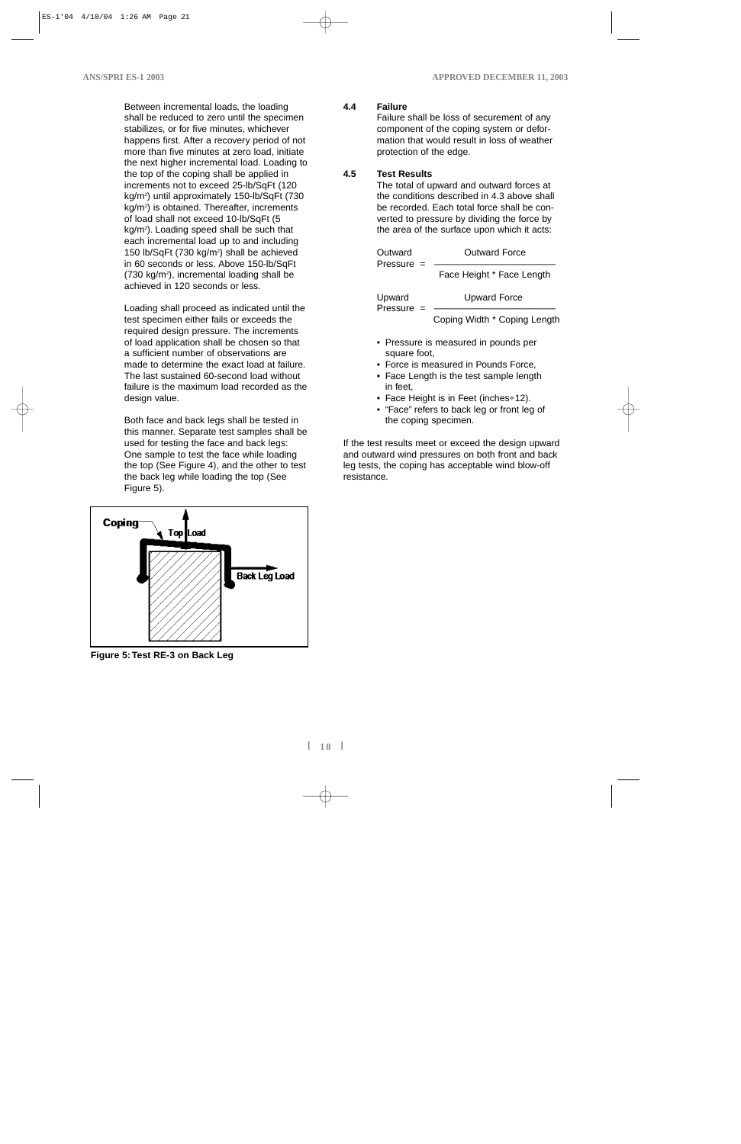Between incremental loads, the loading shall be reduced to zero until the specimen stabilizes, or for five minutes, whichever happens first. After a recovery period of not more than five minutes at zero load, initiate the next higher incremental load. Loading to the top of the coping shall be applied in increments not to exceed 25-lb/SqFt (120 kg/m2 ) until approximately 150-lb/SqFt (730 kg/m2 ) is obtained. Thereafter, increments of load shall not exceed 10-lb/SqFt (5 kg/m2 ). Loading speed shall be such that each incremental load up to and including 150 lb/SqFt (730 kg/m<sup>2</sup>) shall be achieved in 60 seconds or less. Above 150-lb/SqFt (730 kg/m<sup>2</sup>), incremental loading shall be achieved in 120 seconds or less.

Loading shall proceed as indicated until the test specimen either fails or exceeds the required design pressure. The increments of load application shall be chosen so that a sufficient number of observations are made to determine the exact load at failure. The last sustained 60-second load without failure is the maximum load recorded as the design value.

Both face and back legs shall be tested in this manner. Separate test samples shall be used for testing the face and back legs: One sample to test the face while loading the top (See Figure 4), and the other to test the back leg while loading the top (See Figure 5).



**Figure 5: Test RE-3 on Back Leg**

# **4.4 Failure**

Failure shall be loss of securement of any component of the coping system or deformation that would result in loss of weather protection of the edge.

# **4.5 Test Results**

The total of upward and outward forces at the conditions described in 4.3 above shall be recorded. Each total force shall be converted to pressure by dividing the force by the area of the surface upon which it acts:

| Outward<br>Pressure $=$ | <b>Outward Force</b>         |
|-------------------------|------------------------------|
|                         | Face Height * Face Length    |
| Upward<br>Pressure      | <b>Upward Force</b>          |
|                         | Coping Width * Coping Length |

- Pressure is measured in pounds per square foot,
- Force is measured in Pounds Force,
- Face Length is the test sample length in feet,
- Face Height is in Feet (inches÷12).
- "Face" refers to back leg or front leg of the coping specimen.

If the test results meet or exceed the design upward and outward wind pressures on both front and back leg tests, the coping has acceptable wind blow-off resistance.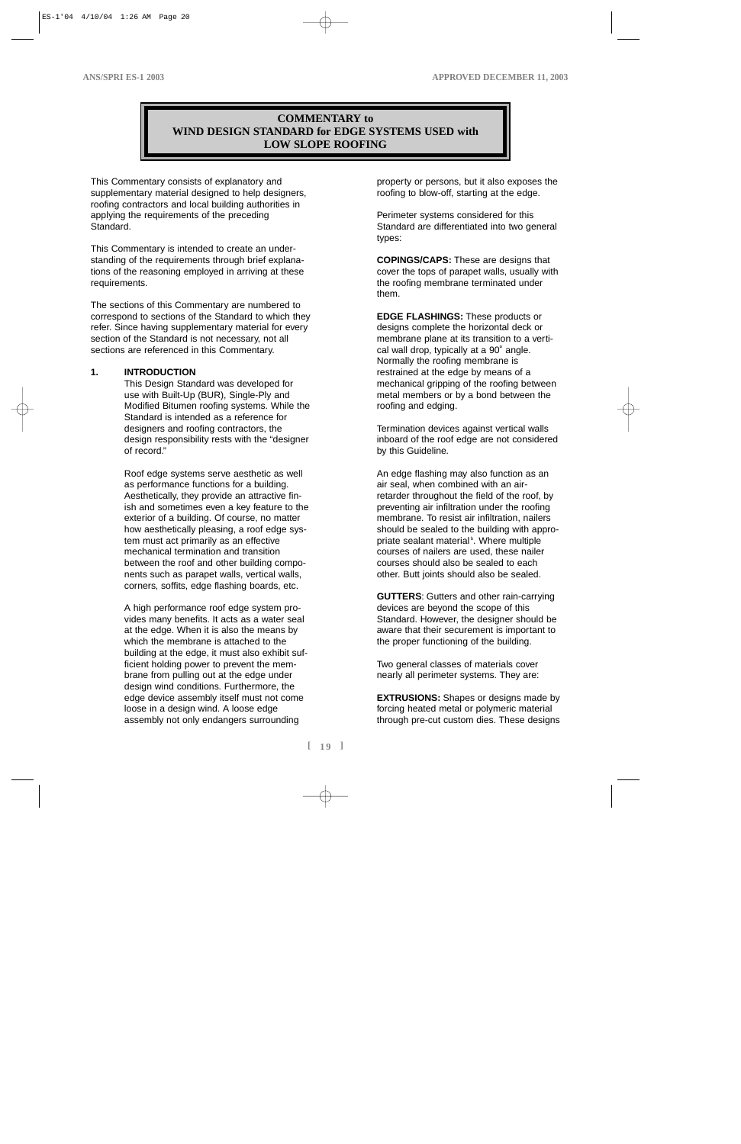# **COMMENTARY to WIND DESIGN STANDARD for EDGE SYSTEMS USED with LOW SLOPE ROOFING**

This Commentary consists of explanatory and supplementary material designed to help designers, roofing contractors and local building authorities in applying the requirements of the preceding Standard.

This Commentary is intended to create an understanding of the requirements through brief explanations of the reasoning employed in arriving at these requirements.

The sections of this Commentary are numbered to correspond to sections of the Standard to which they refer. Since having supplementary material for every section of the Standard is not necessary, not all sections are referenced in this Commentary.

#### **1. INTRODUCTION**

This Design Standard was developed for use with Built-Up (BUR), Single-Ply and Modified Bitumen roofing systems. While the Standard is intended as a reference for designers and roofing contractors, the design responsibility rests with the "designer of record."

Roof edge systems serve aesthetic as well as performance functions for a building. Aesthetically, they provide an attractive finish and sometimes even a key feature to the exterior of a building. Of course, no matter how aesthetically pleasing, a roof edge system must act primarily as an effective mechanical termination and transition between the roof and other building components such as parapet walls, vertical walls, corners, soffits, edge flashing boards, etc.

A high performance roof edge system provides many benefits. It acts as a water seal at the edge. When it is also the means by which the membrane is attached to the building at the edge, it must also exhibit sufficient holding power to prevent the membrane from pulling out at the edge under design wind conditions. Furthermore, the edge device assembly itself must not come loose in a design wind. A loose edge assembly not only endangers surrounding

property or persons, but it also exposes the roofing to blow-off, starting at the edge.

Perimeter systems considered for this Standard are differentiated into two general types:

**COPINGS/CAPS:** These are designs that cover the tops of parapet walls, usually with the roofing membrane terminated under them.

**EDGE FLASHINGS:** These products or designs complete the horizontal deck or membrane plane at its transition to a vertical wall drop, typically at a 90˚ angle. Normally the roofing membrane is restrained at the edge by means of a mechanical gripping of the roofing between metal members or by a bond between the roofing and edging.

Termination devices against vertical walls inboard of the roof edge are not considered by this Guideline.

An edge flashing may also function as an air seal, when combined with an airretarder throughout the field of the roof, by preventing air infiltration under the roofing membrane. To resist air infiltration, nailers should be sealed to the building with appropriate sealant material<sup>b</sup>. Where multiple courses of nailers are used, these nailer courses should also be sealed to each other. Butt joints should also be sealed.

**GUTTERS**: Gutters and other rain-carrying devices are beyond the scope of this Standard. However, the designer should be aware that their securement is important to the proper functioning of the building.

Two general classes of materials cover nearly all perimeter systems. They are:

**EXTRUSIONS:** Shapes or designs made by forcing heated metal or polymeric material through pre-cut custom dies. These designs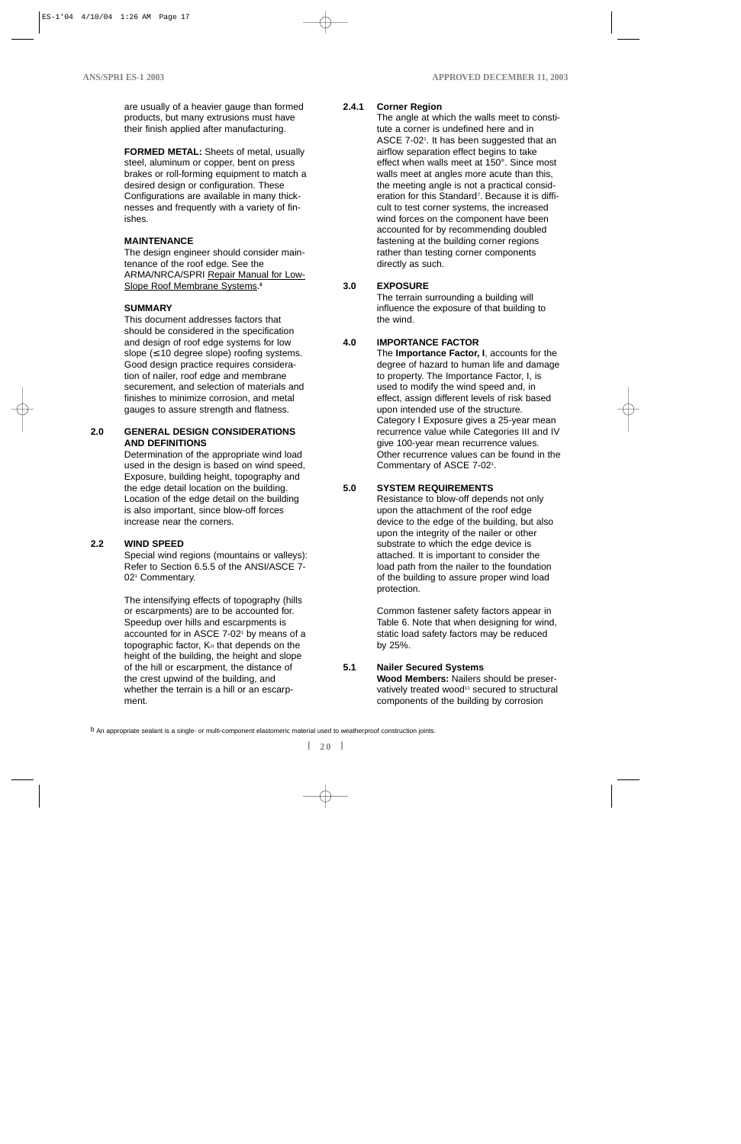are usually of a heavier gauge than formed products, but many extrusions must have their finish applied after manufacturing.

**FORMED METAL:** Sheets of metal, usually steel, aluminum or copper, bent on press brakes or roll-forming equipment to match a desired design or configuration. These Configurations are available in many thicknesses and frequently with a variety of finishes.

#### **MAINTENANCE**

The design engineer should consider maintenance of the roof edge. See the ARMA/NRCA/SPRI Repair Manual for Low-Slope Roof Membrane Systems. **6**

#### **SUMMARY**

This document addresses factors that should be considered in the specification and design of roof edge systems for low slope  $( \leq 10$  degree slope) roofing systems. Good design practice requires consideration of nailer, roof edge and membrane securement, and selection of materials and finishes to minimize corrosion, and metal gauges to assure strength and flatness.

### **2.0 GENERAL DESIGN CONSIDERATIONS AND DEFINITIONS**

Determination of the appropriate wind load used in the design is based on wind speed, Exposure, building height, topography and the edge detail location on the building. Location of the edge detail on the building is also important, since blow-off forces increase near the corners.

#### **2.2 WIND SPEED**

Special wind regions (mountains or valleys): Refer to Section 6.5.5 of the ANSI/ASCE 7- 021 Commentary.

The intensifying effects of topography (hills or escarpments) are to be accounted for. Speedup over hills and escarpments is accounted for in ASCE 7-02<sup>1</sup> by means of a topographic factor,  $K_{zt}$  that depends on the height of the building, the height and slope of the hill or escarpment, the distance of the crest upwind of the building, and whether the terrain is a hill or an escarpment.

# **2.4.1 Corner Region**

The angle at which the walls meet to constitute a corner is undefined here and in ASCE 7-02<sup>1</sup>. It has been suggested that an airflow separation effect begins to take effect when walls meet at 150°. Since most walls meet at angles more acute than this, the meeting angle is not a practical consideration for this Standard<sup>7</sup>. Because it is difficult to test corner systems, the increased wind forces on the component have been accounted for by recommending doubled fastening at the building corner regions rather than testing corner components directly as such.

# **3.0 EXPOSURE**

The terrain surrounding a building will influence the exposure of that building to the wind.

# **4.0 IMPORTANCE FACTOR**

The **Importance Factor, I**, accounts for the degree of hazard to human life and damage to property. The Importance Factor, I, is used to modify the wind speed and, in effect, assign different levels of risk based upon intended use of the structure. Category I Exposure gives a 25-year mean recurrence value while Categories III and IV give 100-year mean recurrence values. Other recurrence values can be found in the Commentary of ASCE 7-021 .

### **5.0 SYSTEM REQUIREMENTS**

Resistance to blow-off depends not only upon the attachment of the roof edge device to the edge of the building, but also upon the integrity of the nailer or other substrate to which the edge device is attached. It is important to consider the load path from the nailer to the foundation of the building to assure proper wind load protection.

Common fastener safety factors appear in Table 6. Note that when designing for wind, static load safety factors may be reduced by 25%.

# **5.1 Nailer Secured Systems**

**Wood Members:** Nailers should be preservatively treated wood<sup>11</sup> secured to structural components of the building by corrosion

b An appropriate sealant is a single- or multi-component elastomeric material used to weatherproof construction joints.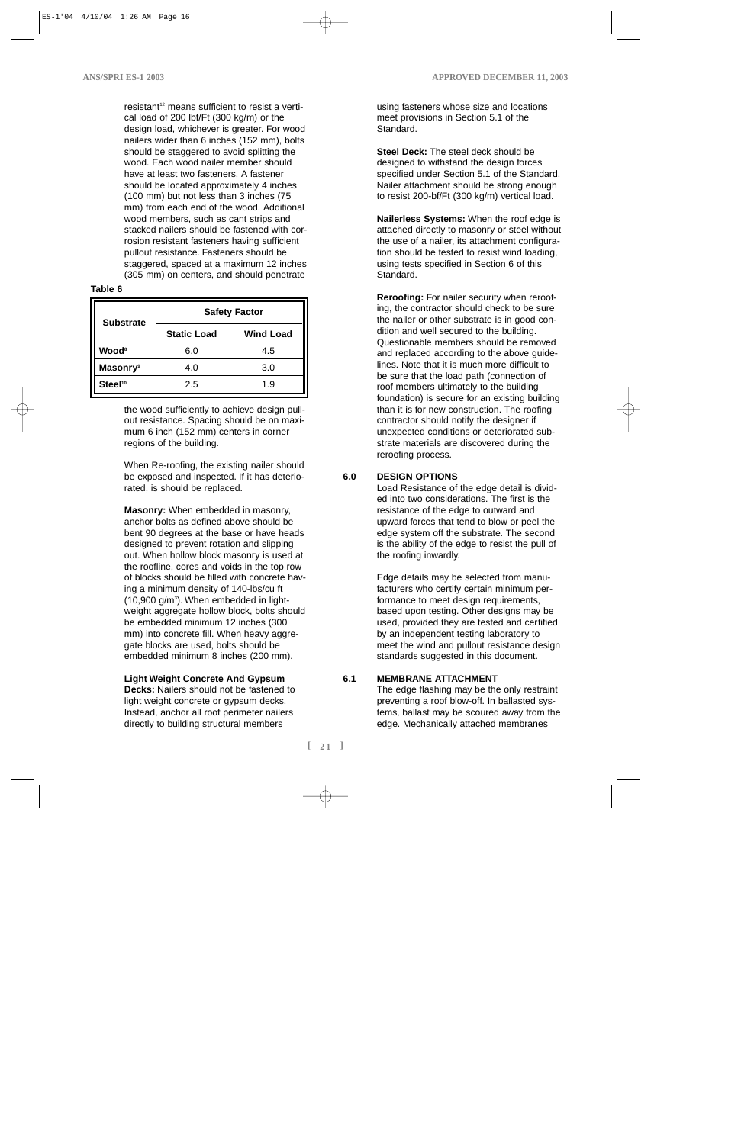resistant<sup>12</sup> means sufficient to resist a vertical load of 200 lbf/Ft (300 kg/m) or the design load, whichever is greater. For wood nailers wider than 6 inches (152 mm), bolts should be staggered to avoid splitting the wood. Each wood nailer member should have at least two fasteners. A fastener should be located approximately 4 inches (100 mm) but not less than 3 inches (75 mm) from each end of the wood. Additional wood members, such as cant strips and stacked nailers should be fastened with corrosion resistant fasteners having sufficient pullout resistance. Fasteners should be staggered, spaced at a maximum 12 inches (305 mm) on centers, and should penetrate

#### **Table 6**

| <b>Substrate</b>            | <b>Safety Factor</b> |                  |  |  |  |
|-----------------------------|----------------------|------------------|--|--|--|
|                             | <b>Static Load</b>   | <b>Wind Load</b> |  |  |  |
| <b>Wood</b> <sup>8</sup>    | 6.0                  | 4.5              |  |  |  |
| <b>Masonry</b> <sup>9</sup> | 4.0                  | 3.0              |  |  |  |
| Steel <sup>10</sup>         | 2.5                  | 1.9              |  |  |  |

the wood sufficiently to achieve design pullout resistance. Spacing should be on maximum 6 inch (152 mm) centers in corner regions of the building.

When Re-roofing, the existing nailer should be exposed and inspected. If it has deteriorated, is should be replaced.

**Masonry:** When embedded in masonry, anchor bolts as defined above should be bent 90 degrees at the base or have heads designed to prevent rotation and slipping out. When hollow block masonry is used at the roofline, cores and voids in the top row of blocks should be filled with concrete having a minimum density of 140-lbs/cu ft (10,900 g/m3 ). When embedded in lightweight aggregate hollow block, bolts should be embedded minimum 12 inches (300 mm) into concrete fill. When heavy aggregate blocks are used, bolts should be embedded minimum 8 inches (200 mm).

#### **Light Weight Concrete And Gypsum**

**Decks:** Nailers should not be fastened to light weight concrete or gypsum decks. Instead, anchor all roof perimeter nailers directly to building structural members

using fasteners whose size and locations meet provisions in Section 5.1 of the Standard.

**Steel Deck:** The steel deck should be designed to withstand the design forces specified under Section 5.1 of the Standard. Nailer attachment should be strong enough to resist 200-bf/Ft (300 kg/m) vertical load.

**Nailerless Systems:** When the roof edge is attached directly to masonry or steel without the use of a nailer, its attachment configuration should be tested to resist wind loading, using tests specified in Section 6 of this Standard.

**Reroofing:** For nailer security when reroofing, the contractor should check to be sure the nailer or other substrate is in good condition and well secured to the building. Questionable members should be removed and replaced according to the above guidelines. Note that it is much more difficult to be sure that the load path (connection of roof members ultimately to the building foundation) is secure for an existing building than it is for new construction. The roofing contractor should notify the designer if unexpected conditions or deteriorated substrate materials are discovered during the reroofing process.

### **6.0 DESIGN OPTIONS**

Load Resistance of the edge detail is divided into two considerations. The first is the resistance of the edge to outward and upward forces that tend to blow or peel the edge system off the substrate. The second is the ability of the edge to resist the pull of the roofing inwardly.

Edge details may be selected from manufacturers who certify certain minimum performance to meet design requirements, based upon testing. Other designs may be used, provided they are tested and certified by an independent testing laboratory to meet the wind and pullout resistance design standards suggested in this document.

#### **6.1 MEMBRANE ATTACHMENT**

The edge flashing may be the only restraint preventing a roof blow-off. In ballasted systems, ballast may be scoured away from the edge. Mechanically attached membranes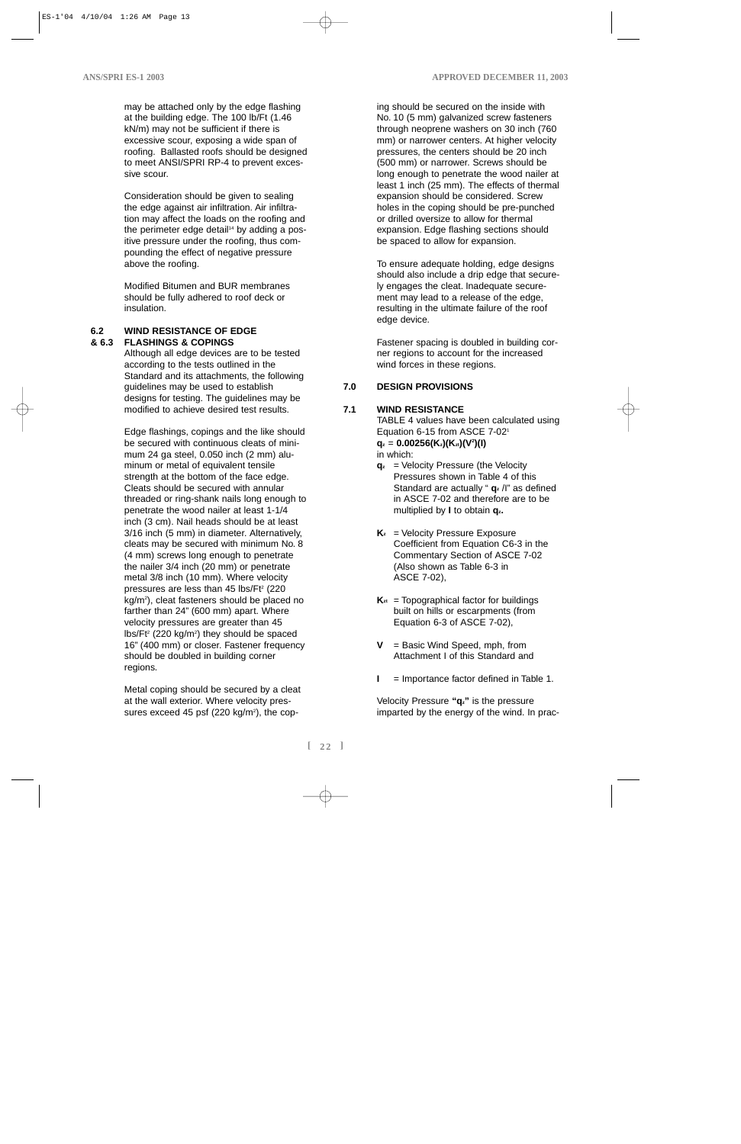may be attached only by the edge flashing at the building edge. The 100 lb/Ft (1.46 kN/m) may not be sufficient if there is excessive scour, exposing a wide span of roofing. Ballasted roofs should be designed to meet ANSI/SPRI RP-4 to prevent excessive scour.

Consideration should be given to sealing the edge against air infiltration. Air infiltration may affect the loads on the roofing and the perimeter edge detail<sup>14</sup> by adding a positive pressure under the roofing, thus compounding the effect of negative pressure above the roofing.

Modified Bitumen and BUR membranes should be fully adhered to roof deck or insulation.

#### **6.2 WIND RESISTANCE OF EDGE & 6.3 FLASHINGS & COPINGS**

Although all edge devices are to be tested according to the tests outlined in the Standard and its attachments, the following guidelines may be used to establish designs for testing. The guidelines may be modified to achieve desired test results.

Edge flashings, copings and the like should be secured with continuous cleats of minimum 24 ga steel, 0.050 inch (2 mm) aluminum or metal of equivalent tensile strength at the bottom of the face edge. Cleats should be secured with annular threaded or ring-shank nails long enough to penetrate the wood nailer at least 1-1/4 inch (3 cm). Nail heads should be at least 3/16 inch (5 mm) in diameter. Alternatively, cleats may be secured with minimum No. 8 (4 mm) screws long enough to penetrate the nailer 3/4 inch (20 mm) or penetrate metal 3/8 inch (10 mm). Where velocity pressures are less than  $45$  lbs/Ft<sup>2</sup> (220) kg/m2 ), cleat fasteners should be placed no farther than 24" (600 mm) apart. Where velocity pressures are greater than 45  $\frac{1}{5}$ lbs/Ft<sup>2</sup> (220 kg/m<sup>2</sup>) they should be spaced 16" (400 mm) or closer. Fastener frequency should be doubled in building corner regions.

Metal coping should be secured by a cleat at the wall exterior. Where velocity pressures exceed 45 psf  $(220 \text{ kg/m}^2)$ , the cop-

ing should be secured on the inside with No. 10 (5 mm) galvanized screw fasteners through neoprene washers on 30 inch (760 mm) or narrower centers. At higher velocity pressures, the centers should be 20 inch (500 mm) or narrower. Screws should be long enough to penetrate the wood nailer at least 1 inch (25 mm). The effects of thermal expansion should be considered. Screw holes in the coping should be pre-punched or drilled oversize to allow for thermal expansion. Edge flashing sections should be spaced to allow for expansion.

To ensure adequate holding, edge designs should also include a drip edge that securely engages the cleat. Inadequate securement may lead to a release of the edge, resulting in the ultimate failure of the roof edge device.

Fastener spacing is doubled in building corner regions to account for the increased wind forces in these regions.

# **7.0 DESIGN PROVISIONS**

### **7.1 WIND RESISTANCE**

TABLE 4 values have been calculated using Equation 6-15 from ASCE 7-021 **qz** = **0.00256(Kz)(Kzt)(V2 )(I)** in which:

- **qz** = Velocity Pressure (the Velocity Pressures shown in Table 4 of this Standard are actually " **qz** /I" as defined in ASCE 7-02 and therefore are to be multiplied by **I** to obtain **qz.**
- **K<sub>z</sub>** = Velocity Pressure Exposure Coefficient from Equation C6-3 in the Commentary Section of ASCE 7-02 (Also shown as Table 6-3 in ASCE 7-02),
- $K_{zt}$  = Topographical factor for buildings built on hills or escarpments (from Equation 6-3 of ASCE 7-02),
- **V** = Basic Wind Speed, mph, from Attachment I of this Standard and
- **I** = Importance factor defined in Table 1.

Velocity Pressure **"qz"** is the pressure imparted by the energy of the wind. In prac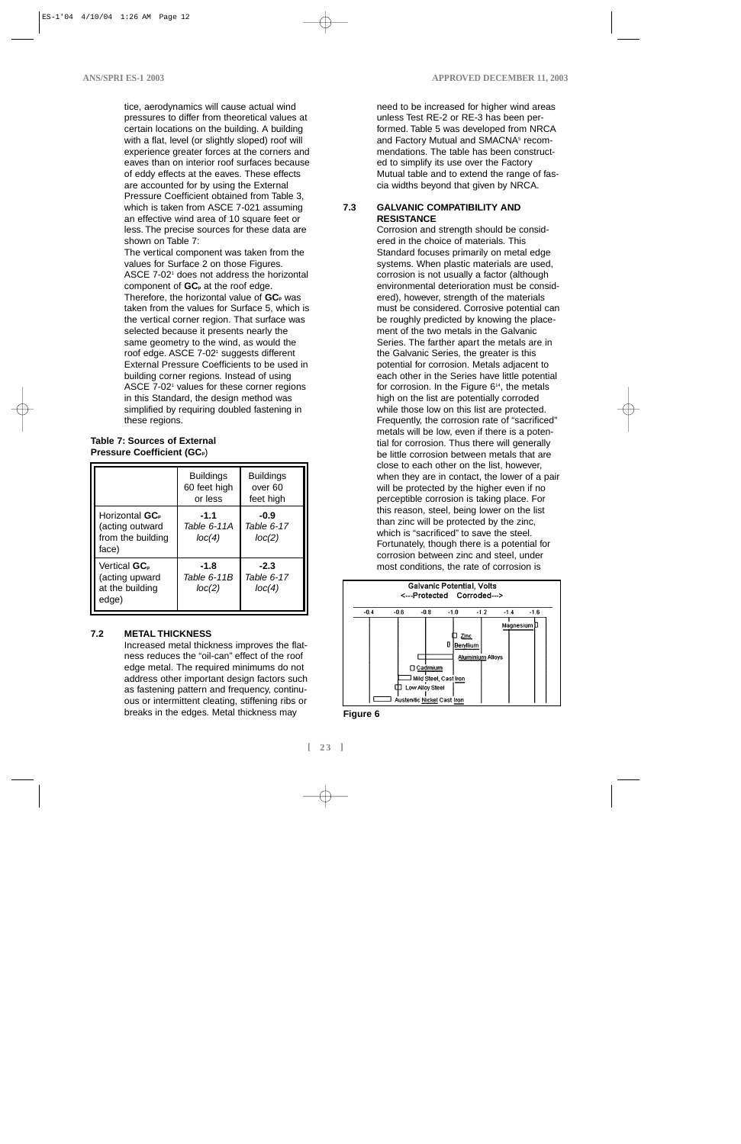tice, aerodynamics will cause actual wind pressures to differ from theoretical values at certain locations on the building. A building with a flat, level (or slightly sloped) roof will experience greater forces at the corners and eaves than on interior roof surfaces because of eddy effects at the eaves. These effects are accounted for by using the External Pressure Coefficient obtained from Table 3, which is taken from ASCE 7-021 assuming an effective wind area of 10 square feet or less. The precise sources for these data are shown on Table 7:

The vertical component was taken from the values for Surface 2 on those Figures. ASCE 7-02<sup>1</sup> does not address the horizontal component of **GC**<sub>p</sub> at the roof edge. Therefore, the horizontal value of **GC**<sub>p</sub> was taken from the values for Surface 5, which is the vertical corner region. That surface was selected because it presents nearly the same geometry to the wind, as would the roof edge. ASCE 7-021 suggests different External Pressure Coefficients to be used in building corner regions. Instead of using ASCE 7-02<sup>1</sup> values for these corner regions in this Standard, the design method was simplified by requiring doubled fastening in these regions.

#### **Table 7: Sources of External Pressure Coefficient (GCp**)

|                                                                             | <b>Buildings</b><br>60 feet high<br>or less | <b>Buildings</b><br>over 60<br>feet high |
|-----------------------------------------------------------------------------|---------------------------------------------|------------------------------------------|
| Horizontal GC <sub>p</sub><br>(acting outward<br>from the building<br>face) | $-1.1$<br>Table 6-11A<br>loc(4)             | -0.9<br>Table 6-17<br>loc(2)             |
| Vertical GC <sub>p</sub><br>(acting upward<br>at the building<br>edge)      | $-1.8$<br>Table 6-11B<br>loc(2)             | $-2.3$<br>Table 6-17<br>loc(4)           |

#### **7.2 METAL THICKNESS**

Increased metal thickness improves the flatness reduces the "oil-can" effect of the roof edge metal. The required minimums do not address other important design factors such as fastening pattern and frequency, continuous or intermittent cleating, stiffening ribs or breaks in the edges. Metal thickness may

need to be increased for higher wind areas unless Test RE-2 or RE-3 has been performed. Table 5 was developed from NRCA and Factory Mutual and SMACNA<sup>5</sup> recommendations. The table has been constructed to simplify its use over the Factory Mutual table and to extend the range of fascia widths beyond that given by NRCA.

#### **7.3 GALVANIC COMPATIBILITY AND RESISTANCE**

Corrosion and strength should be considered in the choice of materials. This Standard focuses primarily on metal edge systems. When plastic materials are used, corrosion is not usually a factor (although environmental deterioration must be considered), however, strength of the materials must be considered. Corrosive potential can be roughly predicted by knowing the placement of the two metals in the Galvanic Series. The farther apart the metals are in the Galvanic Series, the greater is this potential for corrosion. Metals adjacent to each other in the Series have little potential for corrosion. In the Figure 6<sup>14</sup>, the metals high on the list are potentially corroded while those low on this list are protected. Frequently, the corrosion rate of "sacrificed" metals will be low, even if there is a potential for corrosion. Thus there will generally be little corrosion between metals that are close to each other on the list, however, when they are in contact, the lower of a pair will be protected by the higher even if no perceptible corrosion is taking place. For this reason, steel, being lower on the list than zinc will be protected by the zinc, which is "sacrificed" to save the steel. Fortunately, though there is a potential for corrosion between zinc and steel, under most conditions, the rate of corrosion is



**Figure 6**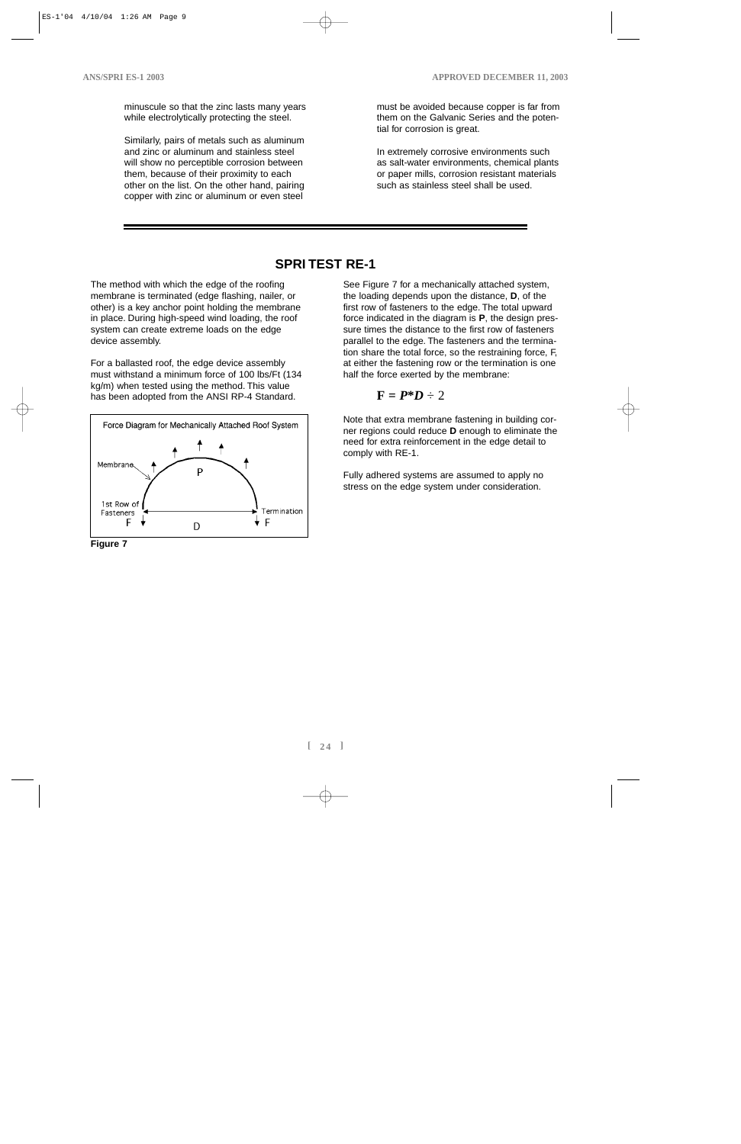minuscule so that the zinc lasts many years while electrolytically protecting the steel.

Similarly, pairs of metals such as aluminum and zinc or aluminum and stainless steel will show no perceptible corrosion between them, because of their proximity to each other on the list. On the other hand, pairing copper with zinc or aluminum or even steel

must be avoided because copper is far from them on the Galvanic Series and the potential for corrosion is great.

In extremely corrosive environments such as salt-water environments, chemical plants or paper mills, corrosion resistant materials such as stainless steel shall be used.

# **SPRI TEST RE-1**

The method with which the edge of the roofing membrane is terminated (edge flashing, nailer, or other) is a key anchor point holding the membrane in place. During high-speed wind loading, the roof system can create extreme loads on the edge device assembly.

For a ballasted roof, the edge device assembly must withstand a minimum force of 100 lbs/Ft (134 kg/m) when tested using the method. This value has been adopted from the ANSI RP-4 Standard.



**Figure 7**

See Figure 7 for a mechanically attached system, the loading depends upon the distance, **D**, of the first row of fasteners to the edge. The total upward force indicated in the diagram is **P**, the design pressure times the distance to the first row of fasteners parallel to the edge. The fasteners and the termination share the total force, so the restraining force, F, at either the fastening row or the termination is one half the force exerted by the membrane:

$$
\mathbf{F} = \boldsymbol{P}^* \boldsymbol{D} \div 2
$$

Note that extra membrane fastening in building corner regions could reduce **D** enough to eliminate the need for extra reinforcement in the edge detail to comply with RE-1.

Fully adhered systems are assumed to apply no stress on the edge system under consideration.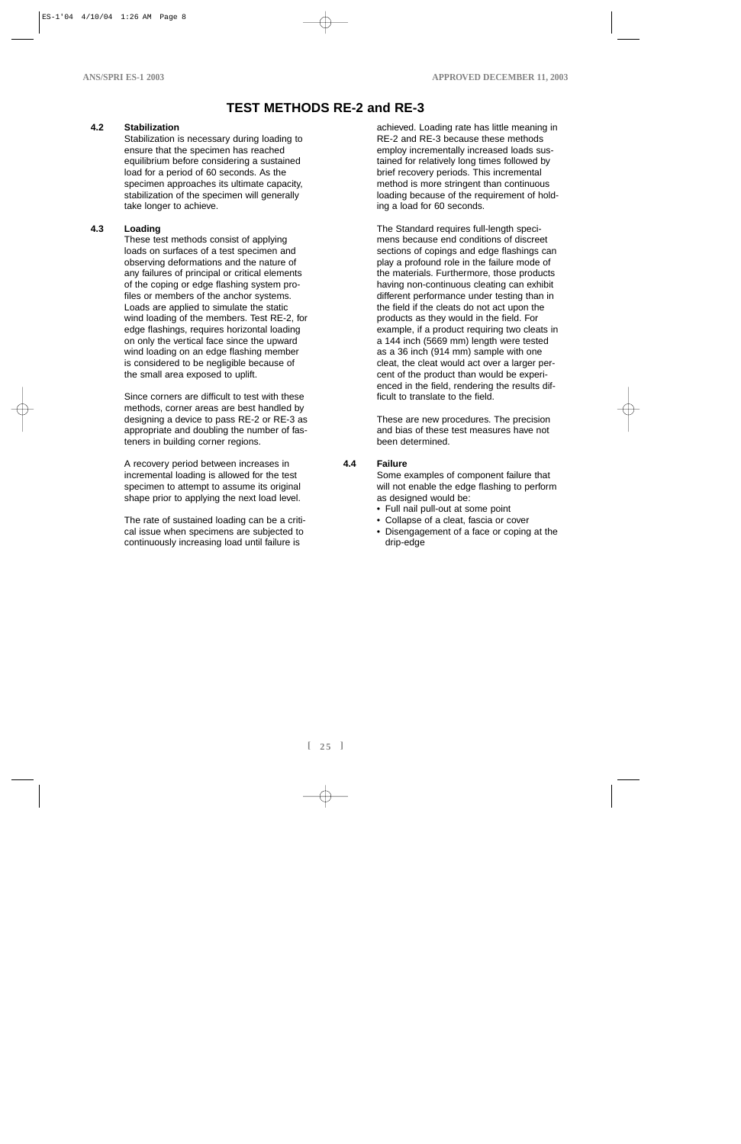# **TEST METHODS RE-2 and RE-3**

#### **4.2 Stabilization**

Stabilization is necessary during loading to ensure that the specimen has reached equilibrium before considering a sustained load for a period of 60 seconds. As the specimen approaches its ultimate capacity, stabilization of the specimen will generally take longer to achieve.

#### **4.3 Loading**

These test methods consist of applying loads on surfaces of a test specimen and observing deformations and the nature of any failures of principal or critical elements of the coping or edge flashing system profiles or members of the anchor systems. Loads are applied to simulate the static wind loading of the members. Test RE-2, for edge flashings, requires horizontal loading on only the vertical face since the upward wind loading on an edge flashing member is considered to be negligible because of the small area exposed to uplift.

Since corners are difficult to test with these methods, corner areas are best handled by designing a device to pass RE-2 or RE-3 as appropriate and doubling the number of fasteners in building corner regions.

A recovery period between increases in incremental loading is allowed for the test specimen to attempt to assume its original shape prior to applying the next load level.

The rate of sustained loading can be a critical issue when specimens are subjected to continuously increasing load until failure is

achieved. Loading rate has little meaning in RE-2 and RE-3 because these methods employ incrementally increased loads sustained for relatively long times followed by brief recovery periods. This incremental method is more stringent than continuous loading because of the requirement of holding a load for 60 seconds.

The Standard requires full-length specimens because end conditions of discreet sections of copings and edge flashings can play a profound role in the failure mode of the materials. Furthermore, those products having non-continuous cleating can exhibit different performance under testing than in the field if the cleats do not act upon the products as they would in the field. For example, if a product requiring two cleats in a 144 inch (5669 mm) length were tested as a 36 inch (914 mm) sample with one cleat, the cleat would act over a larger percent of the product than would be experienced in the field, rendering the results difficult to translate to the field.

These are new procedures. The precision and bias of these test measures have not been determined.

#### **4.4 Failure**

Some examples of component failure that will not enable the edge flashing to perform as designed would be:

- Full nail pull-out at some point
- Collapse of a cleat, fascia or cover
- Disengagement of a face or coping at the drip-edge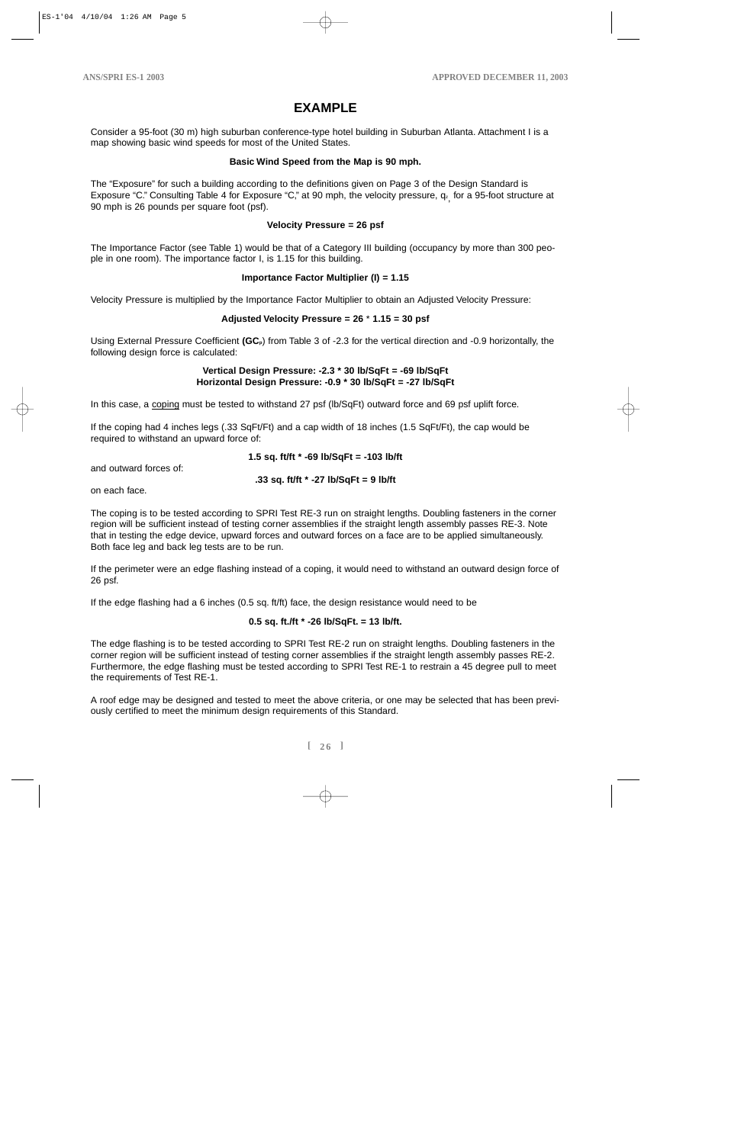# **EXAMPLE**

Consider a 95-foot (30 m) high suburban conference-type hotel building in Suburban Atlanta. Attachment I is a map showing basic wind speeds for most of the United States.

#### **Basic Wind Speed from the Map is 90 mph.**

The "Exposure" for such a building according to the definitions given on Page 3 of the Design Standard is Exposure "C." Consulting Table 4 for Exposure "C," at 90 mph, the velocity pressure, q<sub>z,</sub> for a 95-foot structure at 90 mph is 26 pounds per square foot (psf).

#### **Velocity Pressure = 26 psf**

The Importance Factor (see Table 1) would be that of a Category III building (occupancy by more than 300 people in one room). The importance factor I, is 1.15 for this building.

#### **Importance Factor Multiplier (I) = 1.15**

Velocity Pressure is multiplied by the Importance Factor Multiplier to obtain an Adjusted Velocity Pressure:

#### **Adjusted Velocity Pressure = 26** \* **1.15 = 30 psf**

Using External Pressure Coefficient **(GCp**) from Table 3 of -2.3 for the vertical direction and -0.9 horizontally, the following design force is calculated:

#### **Vertical Design Pressure: -2.3 \* 30 lb/SqFt = -69 lb/SqFt Horizontal Design Pressure: -0.9 \* 30 lb/SqFt = -27 lb/SqFt**

In this case, a coping must be tested to withstand 27 psf (lb/SqFt) outward force and 69 psf uplift force.

If the coping had 4 inches legs (.33 SqFt/Ft) and a cap width of 18 inches (1.5 SqFt/Ft), the cap would be required to withstand an upward force of:

#### **1.5 sq. ft/ft \* -69 lb/SqFt = -103 lb/ft**

and outward forces of:

#### **.33 sq. ft/ft \* -27 lb/SqFt = 9 lb/ft**

on each face.

The coping is to be tested according to SPRI Test RE-3 run on straight lengths. Doubling fasteners in the corner region will be sufficient instead of testing corner assemblies if the straight length assembly passes RE-3. Note that in testing the edge device, upward forces and outward forces on a face are to be applied simultaneously. Both face leg and back leg tests are to be run.

If the perimeter were an edge flashing instead of a coping, it would need to withstand an outward design force of 26 psf.

If the edge flashing had a 6 inches (0.5 sq. ft/ft) face, the design resistance would need to be

#### **0.5 sq. ft./ft \* -26 lb/SqFt. = 13 lb/ft.**

The edge flashing is to be tested according to SPRI Test RE-2 run on straight lengths. Doubling fasteners in the corner region will be sufficient instead of testing corner assemblies if the straight length assembly passes RE-2. Furthermore, the edge flashing must be tested according to SPRI Test RE-1 to restrain a 45 degree pull to meet the requirements of Test RE-1.

A roof edge may be designed and tested to meet the above criteria, or one may be selected that has been previously certified to meet the minimum design requirements of this Standard.